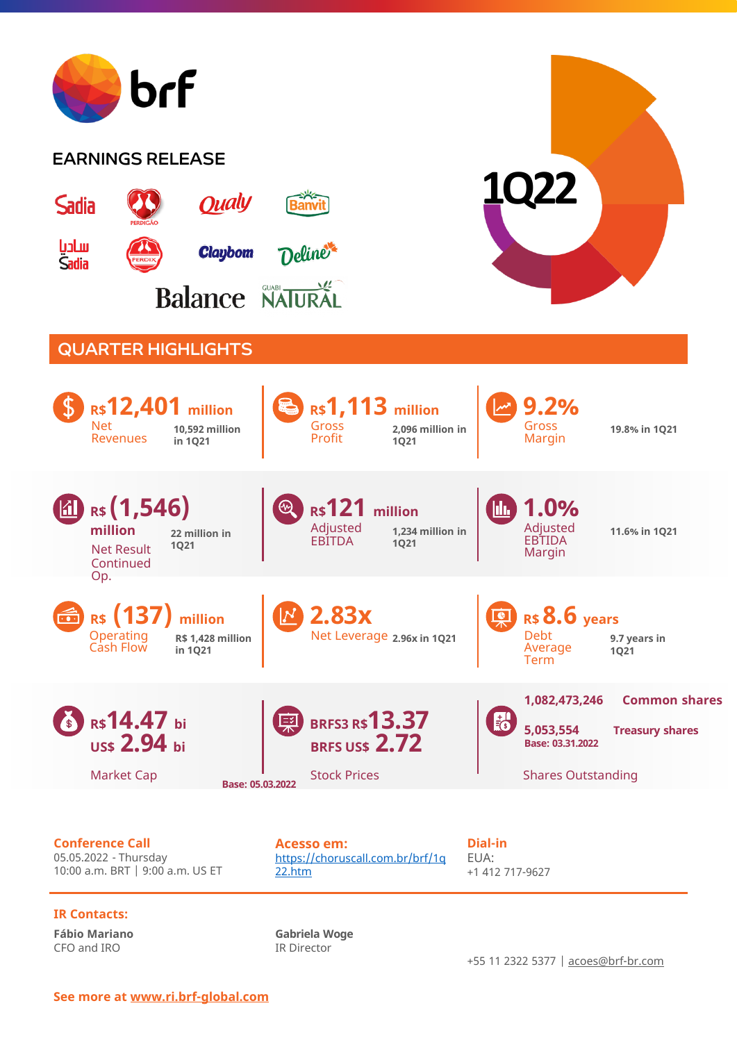

### **IR Contacts:**

**Fábio Mariano** CFO and IRO

**Gabriela Woge** IR Director

+55 11 2322 5377 | [acoes@brf-br.com](mailto:acoes@brf-br.com)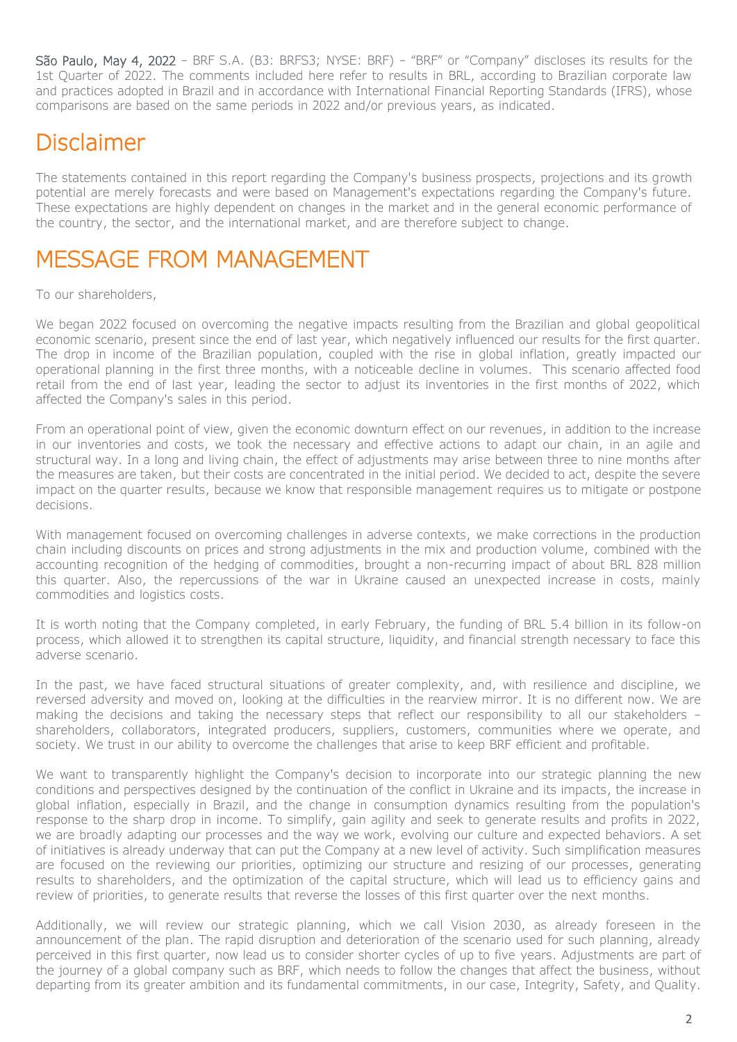São Paulo, May 4, 2022 – BRF S.A. (B3: BRFS3; NYSE: BRF) – "BRF" or "Company" discloses its results for the 1st Quarter of 2022. The comments included here refer to results in BRL, according to Brazilian corporate law and practices adopted in Brazil and in accordance with International Financial Reporting Standards (IFRS), whose comparisons are based on the same periods in 2022 and/or previous years, as indicated.

# Disclaimer

The statements contained in this report regarding the Company's business prospects, projections and its growth potential are merely forecasts and were based on Management's expectations regarding the Company's future. These expectations are highly dependent on changes in the market and in the general economic performance of the country, the sector, and the international market, and are therefore subject to change.

# MESSAGE FROM MANAGEMENT

To our shareholders,

We began 2022 focused on overcoming the negative impacts resulting from the Brazilian and global geopolitical economic scenario, present since the end of last year, which negatively influenced our results for the first quarter. The drop in income of the Brazilian population, coupled with the rise in global inflation, greatly impacted our operational planning in the first three months, with a noticeable decline in volumes. This scenario affected food retail from the end of last year, leading the sector to adjust its inventories in the first months of 2022, which affected the Company's sales in this period.

From an operational point of view, given the economic downturn effect on our revenues, in addition to the increase in our inventories and costs, we took the necessary and effective actions to adapt our chain, in an agile and structural way. In a long and living chain, the effect of adjustments may arise between three to nine months after the measures are taken, but their costs are concentrated in the initial period. We decided to act, despite the severe impact on the quarter results, because we know that responsible management requires us to mitigate or postpone decisions.

With management focused on overcoming challenges in adverse contexts, we make corrections in the production chain including discounts on prices and strong adjustments in the mix and production volume, combined with the accounting recognition of the hedging of commodities, brought a non-recurring impact of about BRL 828 million this quarter. Also, the repercussions of the war in Ukraine caused an unexpected increase in costs, mainly commodities and logistics costs.

It is worth noting that the Company completed, in early February, the funding of BRL 5.4 billion in its follow-on process, which allowed it to strengthen its capital structure, liquidity, and financial strength necessary to face this adverse scenario.

In the past, we have faced structural situations of greater complexity, and, with resilience and discipline, we reversed adversity and moved on, looking at the difficulties in the rearview mirror. It is no different now. We are making the decisions and taking the necessary steps that reflect our responsibility to all our stakeholders – shareholders, collaborators, integrated producers, suppliers, customers, communities where we operate, and society. We trust in our ability to overcome the challenges that arise to keep BRF efficient and profitable.

We want to transparently highlight the Company's decision to incorporate into our strategic planning the new conditions and perspectives designed by the continuation of the conflict in Ukraine and its impacts, the increase in global inflation, especially in Brazil, and the change in consumption dynamics resulting from the population's response to the sharp drop in income. To simplify, gain agility and seek to generate results and profits in 2022, we are broadly adapting our processes and the way we work, evolving our culture and expected behaviors. A set of initiatives is already underway that can put the Company at a new level of activity. Such simplification measures are focused on the reviewing our priorities, optimizing our structure and resizing of our processes, generating results to shareholders, and the optimization of the capital structure, which will lead us to efficiency gains and review of priorities, to generate results that reverse the losses of this first quarter over the next months.

Additionally, we will review our strategic planning, which we call Vision 2030, as already foreseen in the announcement of the plan. The rapid disruption and deterioration of the scenario used for such planning, already perceived in this first quarter, now lead us to consider shorter cycles of up to five years. Adjustments are part of the journey of a global company such as BRF, which needs to follow the changes that affect the business, without departing from its greater ambition and its fundamental commitments, in our case, Integrity, Safety, and Quality.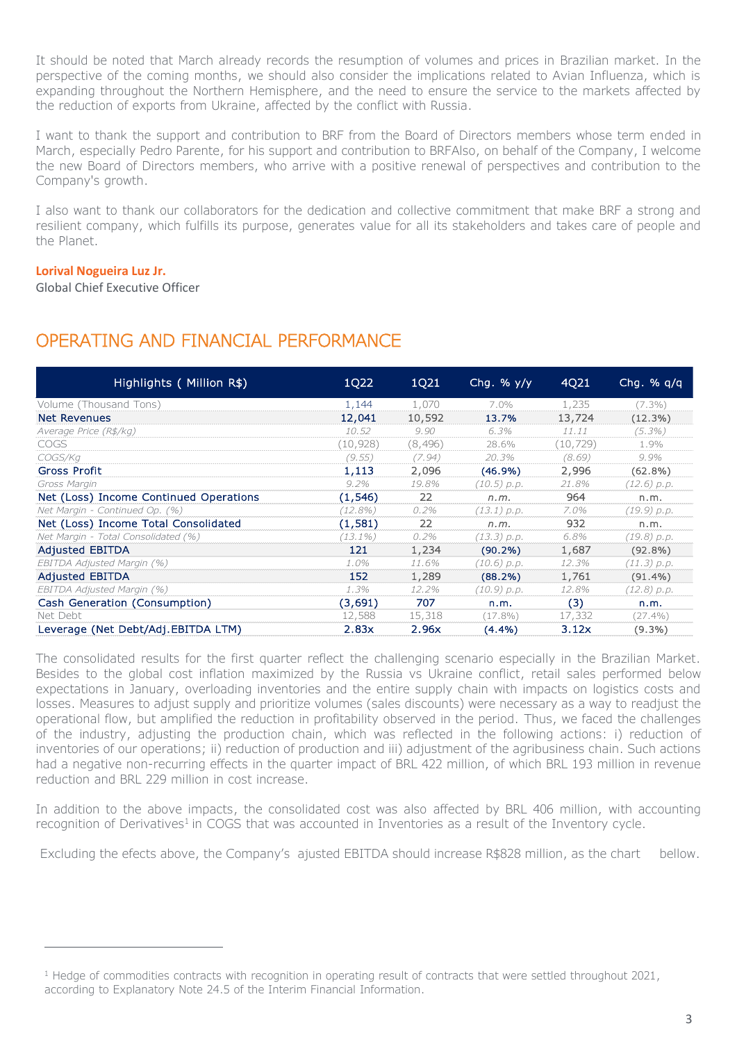It should be noted that March already records the resumption of volumes and prices in Brazilian market. In the perspective of the coming months, we should also consider the implications related to Avian Influenza, which is expanding throughout the Northern Hemisphere, and the need to ensure the service to the markets affected by the reduction of exports from Ukraine, affected by the conflict with Russia.

I want to thank the support and contribution to BRF from the Board of Directors members whose term ended in March, especially Pedro Parente, for his support and contribution to BRFAlso, on behalf of the Company, I welcome the new Board of Directors members, who arrive with a positive renewal of perspectives and contribution to the Company's growth.

I also want to thank our collaborators for the dedication and collective commitment that make BRF a strong and resilient company, which fulfills its purpose, generates value for all its stakeholders and takes care of people and the Planet.

#### **Lorival Nogueira Luz Jr.**

-

Global Chief Executive Officer

### OPERATING AND FINANCIAL PERFORMANCE

| Highlights (Million R\$)               | 1Q22       | 1Q21    | Chq. $%$ y/y | 4Q21     | Chg. $%$ q/q |
|----------------------------------------|------------|---------|--------------|----------|--------------|
| Volume (Thousand Tons)                 | 1,144      | 1,070   | $7.0\%$      | 1,235    | $(7.3\%)$    |
| Net Revenues                           | 12,041     | 10,592  | 13.7%        | 13,724   | (12.3%)      |
| Average Price (R\$/kg)                 | 10.52      | 9.90    | 6.3%         | 11.11    | $(5.3\%)$    |
| <b>COGS</b>                            | (10, 928)  | (8,496) | 28.6%        | (10,729) | 1.9%         |
| COGS/Kg                                | (9.55)     | (7.94)  | 20.3%        | (8.69)   | 9.9%         |
| Gross Profit                           | 1,113      | 2,096   | $(46.9\%)$   | 2,996    | $(62.8\%)$   |
| Gross Margin                           | $9.2\%$    | 19.8%   | (10.5) p.p.  | 21.8%    | (12.6) p.p.  |
| Net (Loss) Income Continued Operations | (1,546)    | 22      | n.m.         | 964      | n.m.         |
| Net Margin - Continued Op. (%)         | (12.8%)    | 0.2%    | (13.1) p.p.  | 7.0%     | (19.9) p.p.  |
| Net (Loss) Income Total Consolidated   | (1,581)    | 22      | n.m.         | 932      | n.m.         |
| Net Margin - Total Consolidated (%)    | $(13.1\%)$ | 0.2%    | (13.3) p.p.  | 6.8%     | (19.8) p.p.  |
| <b>Adjusted EBITDA</b>                 | 121        | 1,234   | $(90.2\%)$   | 1,687    | (92.8%)      |
| EBITDA Adjusted Margin (%)             | 1.0%       | 11.6%   | (10.6) p.p.  | 12.3%    | (11.3) p.p.  |
| <b>Adjusted EBITDA</b>                 | 152        | 1,289   | (88.2%)      | 1,761    | $(91.4\%)$   |
| EBITDA Adjusted Margin (%)             | 1.3%       | 12.2%   | (10.9) p.p.  | 12.8%    | (12.8) p.p.  |
| Cash Generation (Consumption)          | (3,691)    | 707     | n.m.         | (3)      | n.m.         |
| Net Debt                               | 12,588     | 15,318  | $(17.8\%)$   | 17,332   | $(27.4\%)$   |
| Leverage (Net Debt/Adj.EBITDA LTM)     | 2.83x      | 2.96x   | $(4.4\%)$    | 3.12x    | $(9.3\%)$    |

The consolidated results for the first quarter reflect the challenging scenario especially in the Brazilian Market. Besides to the global cost inflation maximized by the Russia vs Ukraine conflict, retail sales performed below expectations in January, overloading inventories and the entire supply chain with impacts on logistics costs and losses. Measures to adjust supply and prioritize volumes (sales discounts) were necessary as a way to readjust the operational flow, but amplified the reduction in profitability observed in the period. Thus, we faced the challenges of the industry, adjusting the production chain, which was reflected in the following actions: i) reduction of inventories of our operations; ii) reduction of production and iii) adjustment of the agribusiness chain. Such actions had a negative non-recurring effects in the quarter impact of BRL 422 million, of which BRL 193 million in revenue reduction and BRL 229 million in cost increase.

In addition to the above impacts, the consolidated cost was also affected by BRL 406 million, with accounting recognition of Derivatives<sup>1</sup> in COGS that was accounted in Inventories as a result of the Inventory cycle.

Excluding the efects above, the Company's ajusted EBITDA should increase R\$828 million, as the chart bellow.

<sup>&</sup>lt;sup>1</sup> Hedge of commodities contracts with recognition in operating result of contracts that were settled throughout 2021, according to Explanatory Note 24.5 of the Interim Financial Information.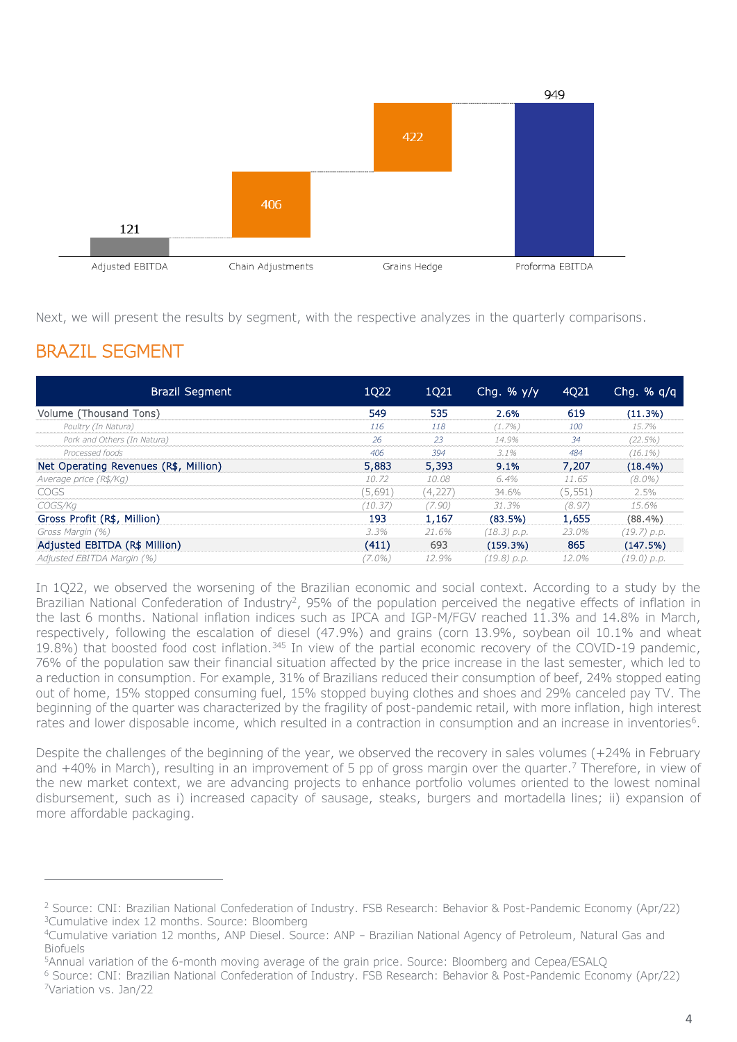

Next, we will present the results by segment, with the respective analyzes in the quarterly comparisons.

# BRAZIL SEGMENT

 $\overline{a}$ 

| Brazil Segment                        | 1Q22    | 1Q21    | Chq. % $y/y$  | 4Q21     | Chg. $% q/q$  |
|---------------------------------------|---------|---------|---------------|----------|---------------|
| Volume (Thousand Tons)                | 549     | 535     | 2.6%          | 619      | (11.3%)       |
| Poultry (In Natura)                   | 116     | 118     | $(1.7\%)$     | 100      | 15.7%         |
| Pork and Others (In Natura)           | 26      | 23      | 14.9%         | 34       | (22.5%)       |
| Processed foods                       | 406     | 394     | $3.1\%$       | 484      | $(16.1\%)$    |
| Net Operating Revenues (R\$, Million) | 5,883   | 5,393   | 9.1%          | 7,207    | $(18.4\%)$    |
| Average price (R\$/Kg)                | 10.72   | 10.08   | 6.4%          | 11.65    | $(8.0\%)$     |
| <b>COGS</b>                           | (5,691) | (4,227) | 34.6%         | (5, 551) | 2.5%          |
| COGS/Ka                               | (10.37) | (7.90)  | 31.3%         | (8.97)   | 15.6%         |
| Gross Profit (R\$, Million)           | 193     | 1,167   | (83.5%)       | 1,655    | $(88.4\%)$    |
| Gross Margin (%)                      | 3.3%    | 21.6%   | $(18.3)$ p.p. | 23.0%    | $(19.7)$ p.p. |
| Adjusted EBITDA (R\$ Million)         | (411)   | 693     | (159.3%)      | 865      | (147.5%)      |
| Adjusted EBITDA Margin (%)            | (7.0%)  | 12.9%   | (19.8) p.p.   | 12.0%    | (19.0) p.p.   |

In 1Q22, we observed the worsening of the Brazilian economic and social context. According to a study by the Brazilian National Confederation of Industry<sup>2</sup>, 95% of the population perceived the negative effects of inflation in the last 6 months. National inflation indices such as IPCA and IGP-M/FGV reached 11.3% and 14.8% in March, respectively, following the escalation of diesel (47.9%) and grains (corn 13.9%, soybean oil 10.1% and wheat 19.8%) that boosted food cost inflation.<sup>345</sup> In view of the partial economic recovery of the COVID-19 pandemic, 76% of the population saw their financial situation affected by the price increase in the last semester, which led to a reduction in consumption. For example, 31% of Brazilians reduced their consumption of beef, 24% stopped eating out of home, 15% stopped consuming fuel, 15% stopped buying clothes and shoes and 29% canceled pay TV. The beginning of the quarter was characterized by the fragility of post-pandemic retail, with more inflation, high interest rates and lower disposable income, which resulted in a contraction in consumption and an increase in inventories<sup>6</sup>.

Despite the challenges of the beginning of the year, we observed the recovery in sales volumes (+24% in February and +40% in March), resulting in an improvement of 5 pp of gross margin over the quarter.<sup>7</sup> Therefore, in view of the new market context, we are advancing projects to enhance portfolio volumes oriented to the lowest nominal disbursement, such as i) increased capacity of sausage, steaks, burgers and mortadella lines; ii) expansion of more affordable packaging.

<sup>2</sup> Source: CNI: Brazilian National Confederation of Industry. FSB Research: Behavior & Post-Pandemic Economy (Apr/22) <sup>3</sup>Cumulative index 12 months. Source: Bloomberg

<sup>4</sup>Cumulative variation 12 months, ANP Diesel. Source: ANP – Brazilian National Agency of Petroleum, Natural Gas and Biofuels

<sup>5</sup>Annual variation of the 6-month moving average of the grain price. Source: Bloomberg and Cepea/ESALQ

<sup>6</sup> Source: CNI: Brazilian National Confederation of Industry. FSB Research: Behavior & Post-Pandemic Economy (Apr/22) <sup>7</sup>Variation vs. Jan/22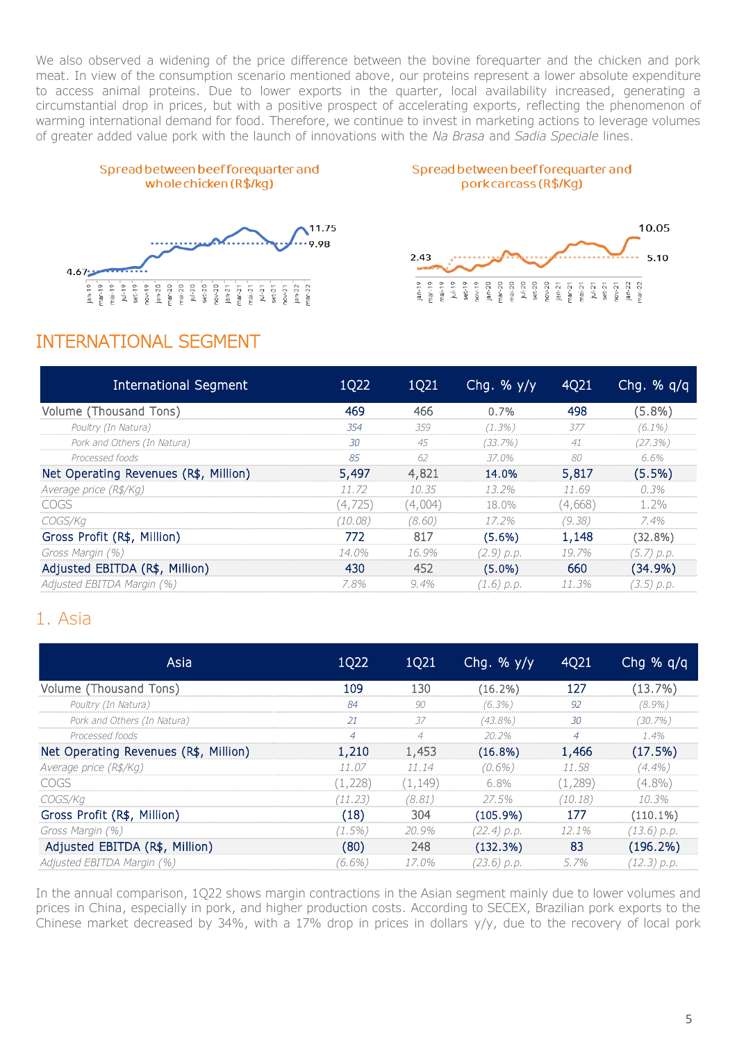We also observed a widening of the price difference between the bovine forequarter and the chicken and pork meat. In view of the consumption scenario mentioned above, our proteins represent a lower absolute expenditure to access animal proteins. Due to lower exports in the quarter, local availability increased, generating a circumstantial drop in prices, but with a positive prospect of accelerating exports, reflecting the phenomenon of warming international demand for food. Therefore, we continue to invest in marketing actions to leverage volumes of greater added value pork with the launch of innovations with the *Na Brasa* and *Sadia Speciale* lines.









### INTERNATIONAL SEGMENT

| International Segment                 | 1Q22     | 1Q21    | Chg. $%$ y/y | 4Q21    | Chg. $%$ q/q |
|---------------------------------------|----------|---------|--------------|---------|--------------|
| Volume (Thousand Tons)                | 469      | 466     | 0.7%         | 498     | $(5.8\%)$    |
| Poultry (In Natura)                   | 354      | 359     | $(1.3\%)$    | 377     | $(6.1\%)$    |
| Pork and Others (In Natura)           | 30       | 45      | (33.7%)      | 41      | $(27.3\%)$   |
| Processed foods                       | 85       | 62      | 37.0%        | 80      | 6.6%         |
| Net Operating Revenues (R\$, Million) | 5,497    | 4,821   | 14.0%        | 5,817   | $(5.5\%)$    |
| Average price (R\$/Kg)                | 11.72    | 10.35   | $13.2\%$     | 11.69   | 0.3%         |
| COGS                                  | (4, 725) | (4,004) | 18.0%        | (4,668) | 1.2%         |
| COGS/Kg                               | (10.08)  | (8.60)  | 17.2%        | (9.38)  | 7.4%         |
| Gross Profit (R\$, Million)           | 772      | 817     | $(5.6\%)$    | 1,148   | $(32.8\%)$   |
| Gross Margin (%)                      | 14.0%    | 16.9%   | (2.9) p.p.   | 19.7%   | (5.7) p.p.   |
| Adjusted EBITDA (R\$, Million)        | 430      | 452     | $(5.0\%)$    | 660     | $(34.9\%)$   |
| Adjusted EBITDA Margin (%)            | 7.8%     | $9.4\%$ | (1.6) p.p.   | 11.3%   | (3.5) p.p.   |

### 1. Asia

| Asia                                  | 1Q22           | 1Q21           | Chg. $\frac{6}{9}$ y/y | 4Q21           | Chg % $q/q$   |
|---------------------------------------|----------------|----------------|------------------------|----------------|---------------|
| Volume (Thousand Tons)                | 109            | 130            | $(16.2\%)$             | 127            | (13.7%)       |
| Poultry (In Natura)                   | 84             | 90             | $(6.3\%)$              | 92             | $(8.9\%)$     |
| Pork and Others (In Natura)           | 21             | 37             | $(43.8\%)$             | 30             | $(30.7\%)$    |
| Processed foods                       | $\overline{4}$ | $\overline{4}$ | $20.2\%$               | $\overline{4}$ | 1.4%          |
| Net Operating Revenues (R\$, Million) | 1,210          | 1,453          | $(16.8\%)$             | 1,466          | (17.5%)       |
| Average price (R\$/Kg)                | 11.07          | 11.14          | $(0.6\%)$              | 11.58          | $(4.4\%)$     |
| <b>COGS</b>                           | (1, 228)       | (1, 149)       | $6.8\%$                | (1,289)        | $(4.8\%)$     |
| COGS/Kg                               | (11.23)        | (8.81)         | 27.5%                  | (10.18)        | 10.3%         |
| Gross Profit (R\$, Million)           | (18)           | 304            | $(105.9\%)$            | 177            | $(110.1\%)$   |
| Gross Margin (%)                      | $(1.5\%)$      | 20.9%          | (22.4) p.p.            | 12.1%          | (13.6) p.p.   |
| Adjusted EBITDA (R\$, Million)        | (80)           | 248            | (132.3%)               | 83             | $(196.2\%)$   |
| Adjusted EBITDA Margin (%)            | $(6.6\%)$      | 17.0%          | (23.6) р.р.            | 5.7%           | $(12.3)$ p.p. |

In the annual comparison, 1Q22 shows margin contractions in the Asian segment mainly due to lower volumes and prices in China, especially in pork, and higher production costs. According to SECEX, Brazilian pork exports to the Chinese market decreased by 34%, with a 17% drop in prices in dollars y/y, due to the recovery of local pork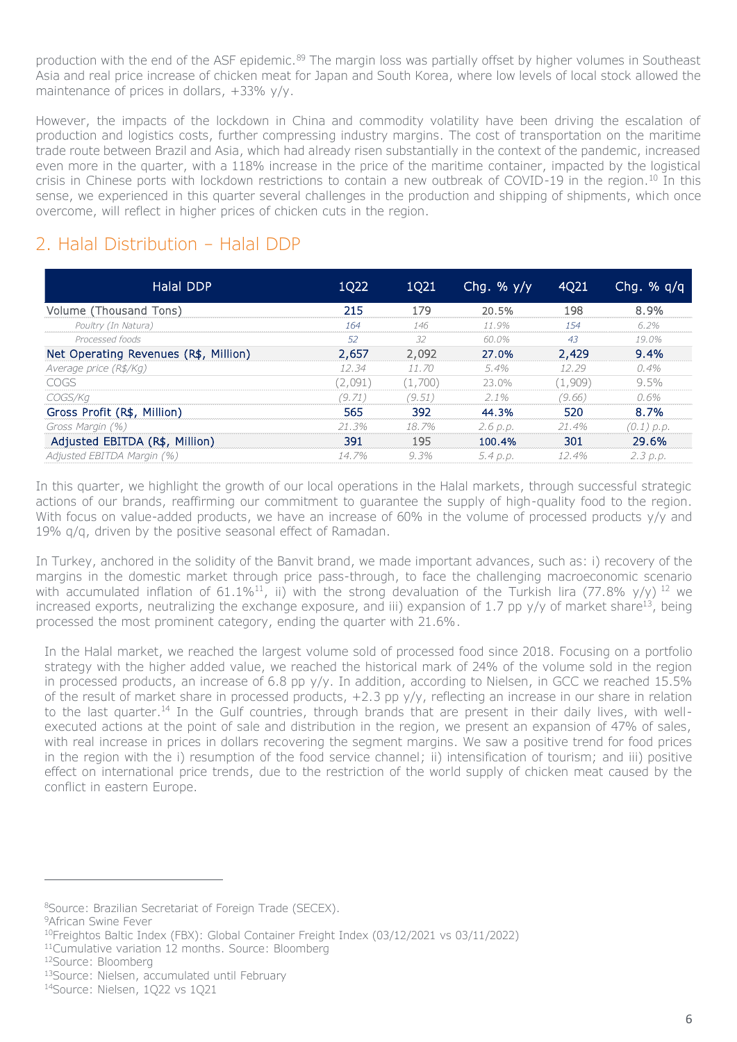production with the end of the ASF epidemic.<sup>89</sup> The margin loss was partially offset by higher volumes in Southeast Asia and real price increase of chicken meat for Japan and South Korea, where low levels of local stock allowed the maintenance of prices in dollars, +33% y/y.

However, the impacts of the lockdown in China and commodity volatility have been driving the escalation of production and logistics costs, further compressing industry margins. The cost of transportation on the maritime trade route between Brazil and Asia, which had already risen substantially in the context of the pandemic, increased even more in the quarter, with a 118% increase in the price of the maritime container, impacted by the logistical crisis in Chinese ports with lockdown restrictions to contain a new outbreak of COVID-19 in the region.<sup>10</sup> In this sense, we experienced in this quarter several challenges in the production and shipping of shipments, which once overcome, will reflect in higher prices of chicken cuts in the region.

### 2. Halal Distribution – Halal DDP

| Halal DDP                             | 1Q22    | 1Q21    | Chq. % $y/y$ | 4Q21     | Chq. $%$ q/q |
|---------------------------------------|---------|---------|--------------|----------|--------------|
| Volume (Thousand Tons)                | 215     | 179     | 20.5%        | 198      | 8.9%         |
| Poultry (In Natura)                   | 164     | 146     | 11.9%        | 154      | 6.2%         |
| Processed foods                       | .52     | 32      | 60.0%        | 43       | 19.0%        |
| Net Operating Revenues (R\$, Million) | 2,657   | 2,092   | 27.0%        | 2,429    | 9.4%         |
| Average price (R\$/Kg)                | 12.34   | 11.70   | 5.4%         | 12.29    | 0.4%         |
| <b>COGS</b>                           | (2,091) | (1,700) | 23.0%        | (1,909)  | $9.5\%$      |
| COGS/Kg                               | (9.71)  | (9.51)  | $2.1\%$      | (9.66)   | 0.6%         |
| Gross Profit (R\$, Million)           | 565     | 392     | 44.3%        | 520      | 8.7%         |
| Gross Margin (%)                      | 21.3%   | 18.7%   | 2.6 p.p.     | $21.4\%$ | $(0.1)$ p.p. |
| Adjusted EBITDA (R\$, Million)        | 391     | 195     | 100.4%       | 301      | 29.6%        |
| Adjusted EBITDA Margin (%)            | 14.7%   | 9.3%    | 5.4 p.p.     | 12.4%    | 2.3 p.p.     |

In this quarter, we highlight the growth of our local operations in the Halal markets, through successful strategic actions of our brands, reaffirming our commitment to guarantee the supply of high-quality food to the region. With focus on value-added products, we have an increase of 60% in the volume of processed products y/y and 19% q/q, driven by the positive seasonal effect of Ramadan.

In Turkey, anchored in the solidity of the Banvit brand, we made important advances, such as: i) recovery of the margins in the domestic market through price pass-through, to face the challenging macroeconomic scenario with accumulated inflation of 61.1%<sup>11</sup>, ii) with the strong devaluation of the Turkish lira (77.8% y/y) <sup>12</sup> we increased exports, neutralizing the exchange exposure, and iii) expansion of 1.7 pp  $y/y$  of market share<sup>13</sup>, being processed the most prominent category, ending the quarter with 21.6%.

In the Halal market, we reached the largest volume sold of processed food since 2018. Focusing on a portfolio strategy with the higher added value, we reached the historical mark of 24% of the volume sold in the region in processed products, an increase of 6.8 pp y/y. In addition, according to Nielsen, in GCC we reached 15.5% of the result of market share in processed products, +2.3 pp y/y, reflecting an increase in our share in relation to the last quarter.<sup>14</sup> In the Gulf countries, through brands that are present in their daily lives, with wellexecuted actions at the point of sale and distribution in the region, we present an expansion of 47% of sales, with real increase in prices in dollars recovering the segment margins. We saw a positive trend for food prices in the region with the i) resumption of the food service channel; ii) intensification of tourism; and iii) positive effect on international price trends, due to the restriction of the world supply of chicken meat caused by the conflict in eastern Europe.

 $\overline{a}$ 

<sup>8</sup>Source: Brazilian Secretariat of Foreign Trade (SECEX).

<sup>9</sup>African Swine Fever

<sup>10</sup>Freightos Baltic Index (FBX): Global Container Freight Index (03/12/2021 vs 03/11/2022)

<sup>11</sup>Cumulative variation 12 months. Source: Bloomberg

<sup>12</sup>Source: Bloomberg

<sup>13</sup>Source: Nielsen, accumulated until February

<sup>14</sup>Source: Nielsen, 1Q22 vs 1Q21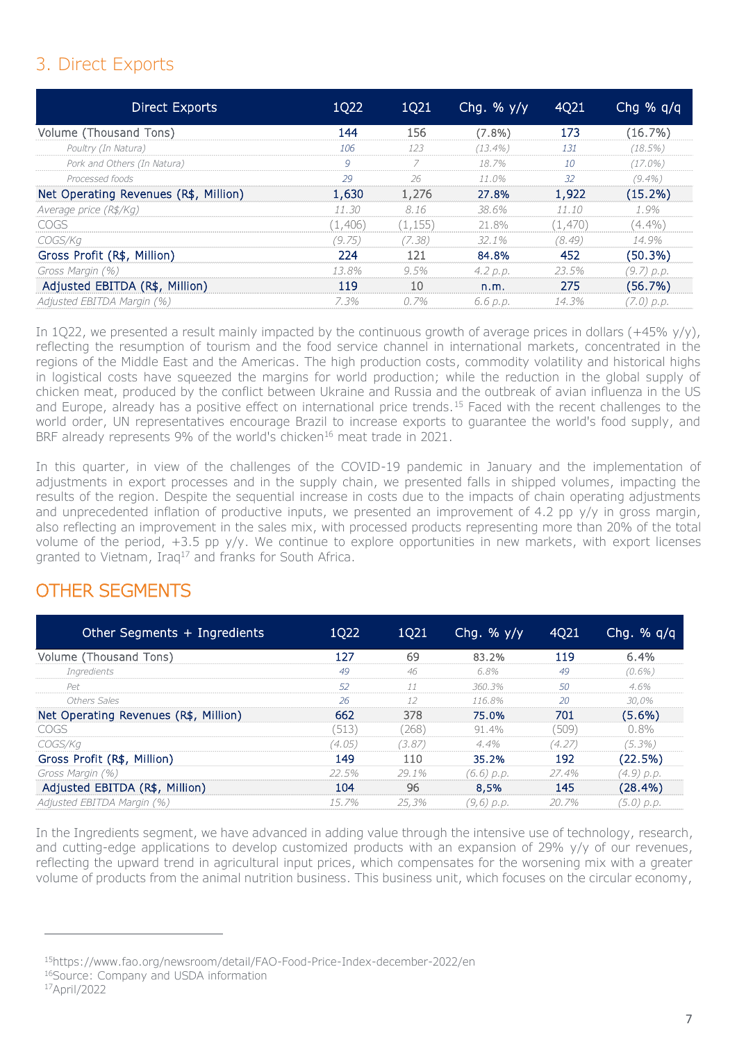# 3. Direct Exports

| Direct Exports                        | 1Q22    | 1Q21     | Chg. % $y/y$ | 4Q21    | Chg % $q/q$ |
|---------------------------------------|---------|----------|--------------|---------|-------------|
| Volume (Thousand Tons)                | 144     | 156      | $(7.8\%)$    | 173     | (16.7%)     |
| Poultry (In Natura)                   | 106     | 123      | $(13.4\%)$   | 131     | $(18.5\%)$  |
| Pork and Others (In Natura)           | 9       | 7        | 18.7%        | 10      | $(17.0\%)$  |
| Processed foods                       | 29      | 26       | $11.0\%$     | 32      | $(9.4\%)$   |
| Net Operating Revenues (R\$, Million) | 1,630   | 1,276    | 27.8%        | 1,922   | $(15.2\%)$  |
| Average price (R\$/Kg)                | 11.30   | 8.16     | 38.6%        | 11.10   | 1.9%        |
| COGS                                  | (1,406) | (1, 155) | 21.8%        | (1,470) | $(4.4\%)$   |
| COGS/Kg                               | (9.75)  | (7.38)   | 32.1%        | (8.49)  | 14.9%       |
| Gross Profit (R\$, Million)           | 224     | 121      | 84.8%        | 452     | (50.3%)     |
| Gross Margin (%)                      | 13.8%   | 9.5%     | 4.2 p.p.     | 23.5%   | (9.7) p.p.  |
| Adjusted EBITDA (R\$, Million)        | 119     | 10       | n.m.         | 275     | (56.7%)     |
| Adjusted EBITDA Margin (%)            | 7.3%    | 0.7%     | 6.6 p.p.     | 14.3%   | (7.0) p.p.  |

In 1Q22, we presented a result mainly impacted by the continuous growth of average prices in dollars (+45% y/y), reflecting the resumption of tourism and the food service channel in international markets, concentrated in the regions of the Middle East and the Americas. The high production costs, commodity volatility and historical highs in logistical costs have squeezed the margins for world production; while the reduction in the global supply of chicken meat, produced by the conflict between Ukraine and Russia and the outbreak of avian influenza in the US and Europe, already has a positive effect on international price trends.<sup>15</sup> Faced with the recent challenges to the world order, UN representatives encourage Brazil to increase exports to guarantee the world's food supply, and BRF already represents 9% of the world's chicken<sup>16</sup> meat trade in 2021.

In this quarter, in view of the challenges of the COVID-19 pandemic in January and the implementation of adjustments in export processes and in the supply chain, we presented falls in shipped volumes, impacting the results of the region. Despite the sequential increase in costs due to the impacts of chain operating adjustments and unprecedented inflation of productive inputs, we presented an improvement of 4.2 pp y/y in gross margin, also reflecting an improvement in the sales mix, with processed products representing more than 20% of the total volume of the period, +3.5 pp y/y. We continue to explore opportunities in new markets, with export licenses granted to Vietnam, Iraq<sup>17</sup> and franks for South Africa.

### OTHER SEGMENTS

| Other Segments + Ingredients          | 1Q22      | 1Q21   | Chg. % $y/y$ | 4Q21   | Chg. $% q/q$ |
|---------------------------------------|-----------|--------|--------------|--------|--------------|
| Volume (Thousand Tons)                | 127       | 69     | 83.2%        | 119    | 6.4%         |
| Ingredients                           | 49        | 46     | 6.8%         | 49     | $(0.6\%)$    |
| Pet                                   | 52        | 11     | 360.3%       | 50     | 4.6%         |
| Others Sales                          | 26        | 12     | 116.8%       | 20     | 30,0%        |
| Net Operating Revenues (R\$, Million) | 662       | 378    | 75.0%        | 701    | (5.6%)       |
| COGS                                  | (513)     | (268)  | 91.4%        | (509)  | $0.8\%$      |
| COGS/Kg                               | (4.05)    | (3.87) | $4.4\%$      | (4.27) | $(5.3\%)$    |
| Gross Profit (R\$, Million)           | 149       | 110    | 35.2%        | 192    | (22.5%)      |
| Gross Margin (%)                      | 22.5%     | 29.1%  | (6.6) p.p.   | 27.4%  | (4.9) p.p.   |
| Adjusted EBITDA (R\$, Million)        | 104       | 96     | 8.5%         | 145    | (28.4%)      |
| Adjusted EBITDA Margin (%)            | $1.5.7\%$ | 25,3%  | (9,6) p.p.   | 20.7%  | (5.0) p.p.   |

In the Ingredients segment, we have advanced in adding value through the intensive use of technology, research, and cutting-edge applications to develop customized products with an expansion of 29% y/y of our revenues, reflecting the upward trend in agricultural input prices, which compensates for the worsening mix with a greater volume of products from the animal nutrition business. This business unit, which focuses on the circular economy,

<sup>15</sup>https://www.fao.org/newsroom/detail/FAO-Food-Price-Index-december-2022/en

-

<sup>16</sup>Source: Company and USDA information

<sup>17</sup>April/2022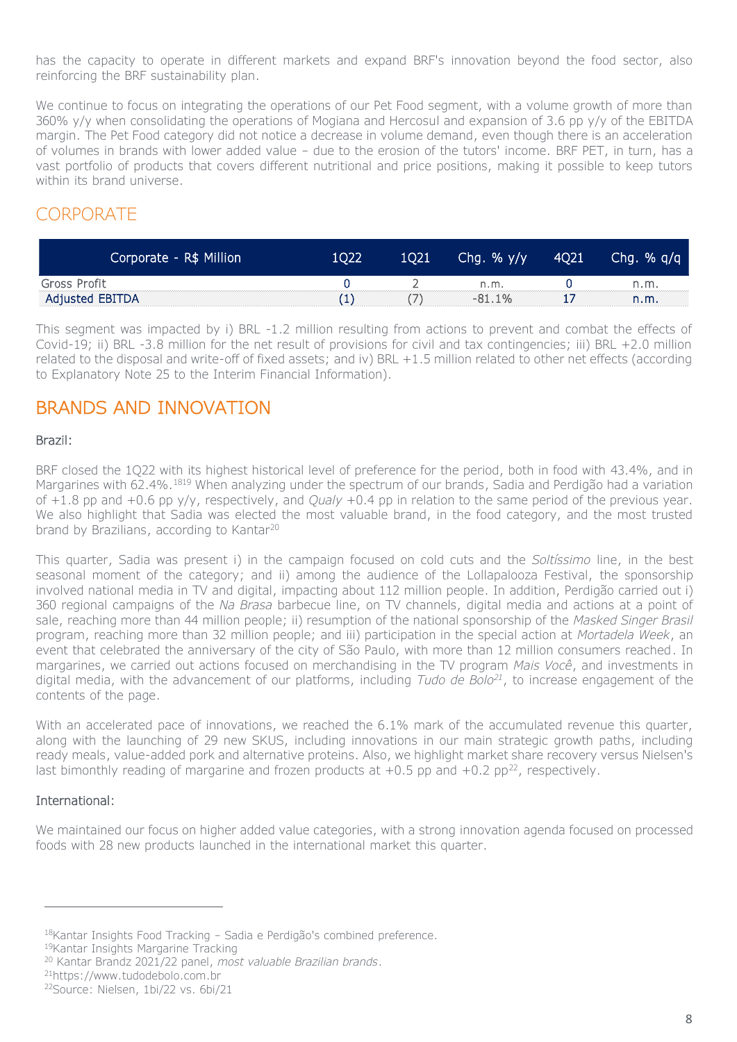has the capacity to operate in different markets and expand BRF's innovation beyond the food sector, also reinforcing the BRF sustainability plan.

We continue to focus on integrating the operations of our Pet Food segment, with a volume growth of more than 360% y/y when consolidating the operations of Mogiana and Hercosul and expansion of 3.6 pp y/y of the EBITDA margin. The Pet Food category did not notice a decrease in volume demand, even though there is an acceleration of volumes in brands with lower added value – due to the erosion of the tutors' income. BRF PET, in turn, has a vast portfolio of products that covers different nutritional and price positions, making it possible to keep tutors within its brand universe.

### **CORPORATE**

| Corporate - R\$ Million | 1022 | 1021 | Chg. $%$ y/y | 4Q21 | Chg. $% q/q$ |
|-------------------------|------|------|--------------|------|--------------|
| Gross Profit            |      |      | n.m.         |      | n.m          |
| Adjusted EBITDA         |      |      | $-81.1\%$    |      | n.m.         |

This segment was impacted by i) BRL -1.2 million resulting from actions to prevent and combat the effects of Covid-19; ii) BRL -3.8 million for the net result of provisions for civil and tax contingencies; iii) BRL +2.0 million related to the disposal and write-off of fixed assets; and iv) BRL +1.5 million related to other net effects (according to Explanatory Note 25 to the Interim Financial Information).

### BRANDS AND INNOVATION

#### Brazil:

BRF closed the 1Q22 with its highest historical level of preference for the period, both in food with 43.4%, and in Margarines with 62.4%.<sup>1819</sup> When analyzing under the spectrum of our brands, Sadia and Perdigão had a variation of +1.8 pp and +0.6 pp y/y, respectively, and *Qualy* +0.4 pp in relation to the same period of the previous year. We also highlight that Sadia was elected the most valuable brand, in the food category, and the most trusted brand by Brazilians, according to Kantar<sup>20</sup>

This quarter, Sadia was present i) in the campaign focused on cold cuts and the *Soltíssimo* line, in the best seasonal moment of the category; and ii) among the audience of the Lollapalooza Festival, the sponsorship involved national media in TV and digital, impacting about 112 million people. In addition, Perdigão carried out i) 360 regional campaigns of the *Na Brasa* barbecue line, on TV channels, digital media and actions at a point of sale, reaching more than 44 million people; ii) resumption of the national sponsorship of the *Masked Singer Brasil* program, reaching more than 32 million people; and iii) participation in the special action at *Mortadela Week*, an event that celebrated the anniversary of the city of São Paulo, with more than 12 million consumers reached. In margarines, we carried out actions focused on merchandising in the TV program *Mais Você*, and investments in digital media, with the advancement of our platforms, including *Tudo de Bolo<sup>21</sup>*, to increase engagement of the contents of the page.

With an accelerated pace of innovations, we reached the 6.1% mark of the accumulated revenue this quarter, along with the launching of 29 new SKUS, including innovations in our main strategic growth paths, including ready meals, value-added pork and alternative proteins. Also, we highlight market share recovery versus Nielsen's last bimonthly reading of margarine and frozen products at  $+0.5$  pp and  $+0.2$  pp<sup>22</sup>, respectively.

#### International:

 $\overline{a}$ 

We maintained our focus on higher added value categories, with a strong innovation agenda focused on processed foods with 28 new products launched in the international market this quarter.

<sup>18</sup>Kantar Insights Food Tracking – Sadia e Perdigão's combined preference.

<sup>19</sup>Kantar Insights Margarine Tracking

<sup>20</sup> Kantar Brandz 2021/22 panel, *most valuable Brazilian brands*.

<sup>21</sup>https://www.tudodebolo.com.br

<sup>22</sup>Source: Nielsen, 1bi/22 vs. 6bi/21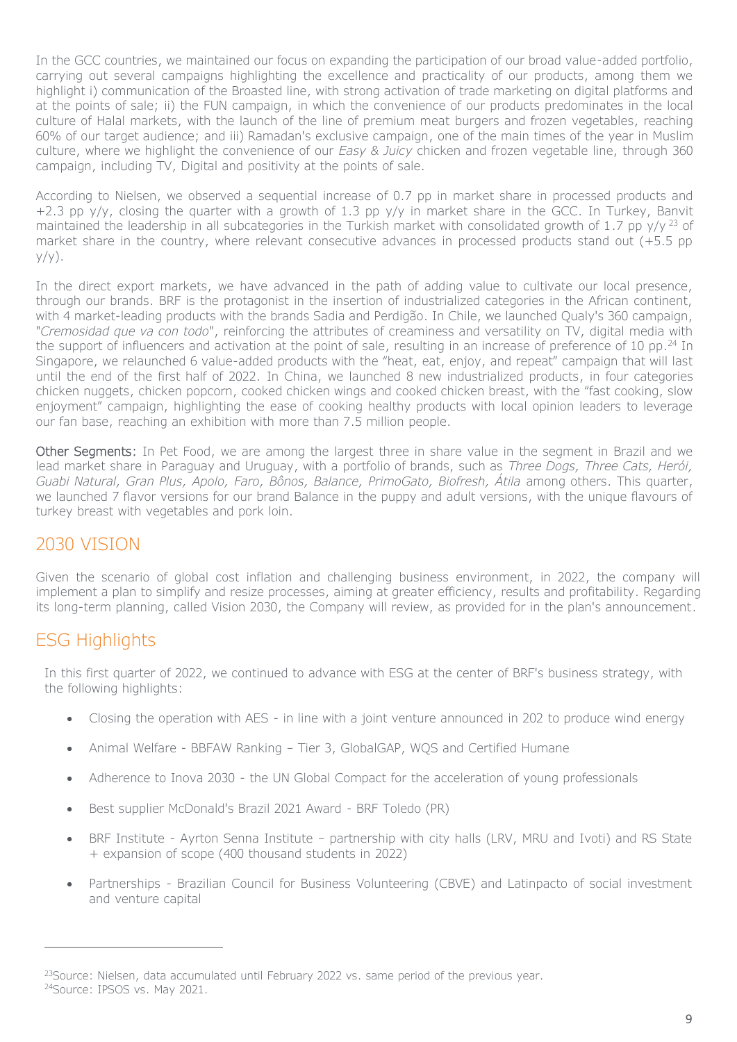In the GCC countries, we maintained our focus on expanding the participation of our broad value-added portfolio, carrying out several campaigns highlighting the excellence and practicality of our products, among them we highlight i) communication of the Broasted line, with strong activation of trade marketing on digital platforms and at the points of sale; ii) the FUN campaign, in which the convenience of our products predominates in the local culture of Halal markets, with the launch of the line of premium meat burgers and frozen vegetables, reaching 60% of our target audience; and iii) Ramadan's exclusive campaign, one of the main times of the year in Muslim culture, where we highlight the convenience of our *Easy & Juicy* chicken and frozen vegetable line, through 360 campaign, including TV, Digital and positivity at the points of sale.

According to Nielsen, we observed a sequential increase of 0.7 pp in market share in processed products and  $+2.3$  pp y/y, closing the quarter with a growth of 1.3 pp y/y in market share in the GCC. In Turkey, Banvit maintained the leadership in all subcategories in the Turkish market with consolidated growth of 1.7 pp  $v/v^{23}$  of market share in the country, where relevant consecutive advances in processed products stand out (+5.5 pp  $y/y$ ).

In the direct export markets, we have advanced in the path of adding value to cultivate our local presence, through our brands. BRF is the protagonist in the insertion of industrialized categories in the African continent, with 4 market-leading products with the brands Sadia and Perdigão. In Chile, we launched Qualy's 360 campaign, "*Cremosidad que va con todo*", reinforcing the attributes of creaminess and versatility on TV, digital media with the support of influencers and activation at the point of sale, resulting in an increase of preference of 10 pp.<sup>24</sup> In Singapore, we relaunched 6 value-added products with the "heat, eat, enjoy, and repeat" campaign that will last until the end of the first half of 2022. In China, we launched 8 new industrialized products, in four categories chicken nuggets, chicken popcorn, cooked chicken wings and cooked chicken breast, with the "fast cooking, slow enjoyment" campaign, highlighting the ease of cooking healthy products with local opinion leaders to leverage our fan base, reaching an exhibition with more than 7.5 million people.

Other Segments: In Pet Food, we are among the largest three in share value in the segment in Brazil and we lead market share in Paraguay and Uruguay, with a portfolio of brands, such as *Three Dogs, Three Cats, Herói, Guabi Natural, Gran Plus, Apolo, Faro, Bônos, Balance, PrimoGato, Biofresh, Átila* among others. This quarter, we launched 7 flavor versions for our brand Balance in the puppy and adult versions, with the unique flavours of turkey breast with vegetables and pork loin.

### 2030 VISION

Given the scenario of global cost inflation and challenging business environment, in 2022, the company will implement a plan to simplify and resize processes, aiming at greater efficiency, results and profitability. Regarding its long-term planning, called Vision 2030, the Company will review, as provided for in the plan's announcement.

### ESG Highlights

-

In this first quarter of 2022, we continued to advance with ESG at the center of BRF's business strategy, with the following highlights:

- Closing the operation with AES in line with a joint venture announced in 202 to produce wind energy
- Animal Welfare BBFAW Ranking Tier 3, GlobalGAP, WQS and Certified Humane
- Adherence to Inova 2030 the UN Global Compact for the acceleration of young professionals
- Best supplier McDonald's Brazil 2021 Award BRF Toledo (PR)
- BRF Institute Ayrton Senna Institute partnership with city halls (LRV, MRU and Ivoti) and RS State + expansion of scope (400 thousand students in 2022)
- Partnerships Brazilian Council for Business Volunteering (CBVE) and Latinpacto of social investment and venture capital

<sup>&</sup>lt;sup>23</sup>Source: Nielsen, data accumulated until February 2022 vs. same period of the previous year. 24Source: IPSOS vs. May 2021.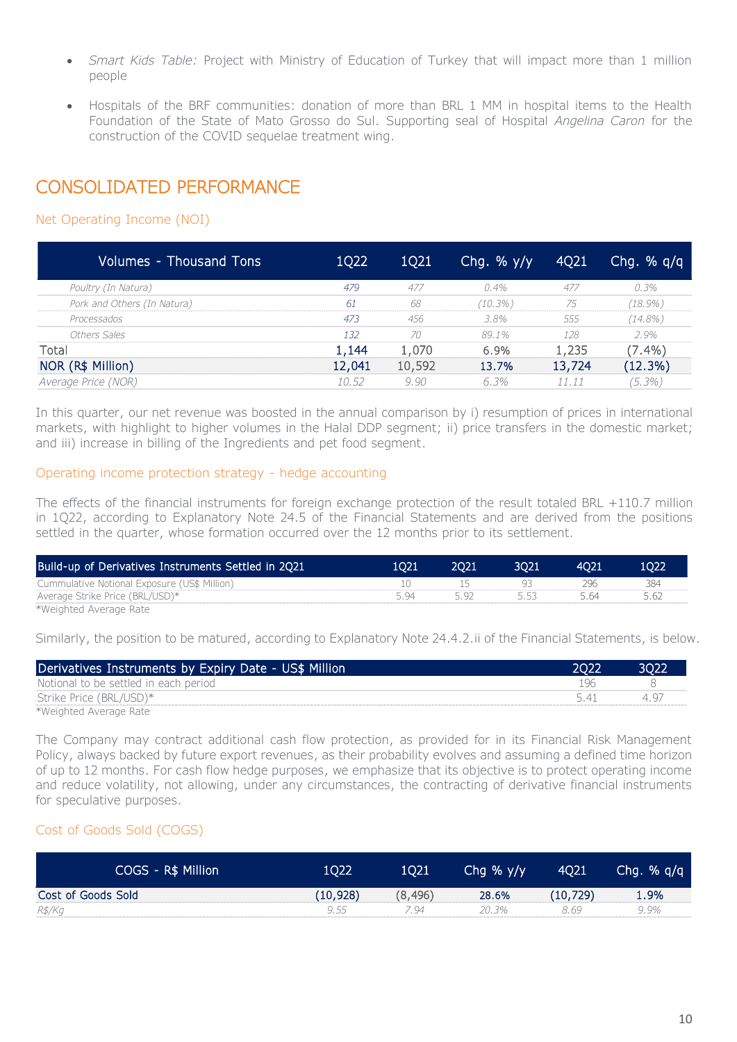- *Smart Kids Table:* Project with Ministry of Education of Turkey that will impact more than 1 million people
- Hospitals of the BRF communities: donation of more than BRL 1 MM in hospital items to the Health Foundation of the State of Mato Grosso do Sul. Supporting seal of Hospital *Angelina Caron* for the construction of the COVID sequelae treatment wing.

## CONSOLIDATED PERFORMANCE

#### Net Operating Income (NOI)

| Volumes - Thousand Tons     | 1Q22   | 1Q21   | Chq. % $y/y$ | 4021   | Chg. $%$ q/q |
|-----------------------------|--------|--------|--------------|--------|--------------|
| Poultry (In Natura)         | 479    | 477    | $0.4\%$      | 477    | 0.3%         |
| Pork and Others (In Natura) | 61     | 68     | $(10.3\%)$   | 75     | $(18.9\%)$   |
| Processados                 | 473    | 456    | 3.8%         | 555    | $(14.8\%)$   |
| Others Sales                | 1.32   | 70     | 89.1%        | 128    | 2.9%         |
| Total                       | 1,144  | 1,070  | 6.9%         | 1,235  | $(7.4\%)$    |
| NOR (R\$ Million)           | 12,041 | 10,592 | 13.7%        | 13,724 | (12.3%)      |
| Average Price (NOR)         | 10.52  | 9.90   | 6.3%         | 11.11  | $(5.3\%)$    |

In this quarter, our net revenue was boosted in the annual comparison by i) resumption of prices in international markets, with highlight to higher volumes in the Halal DDP segment; ii) price transfers in the domestic market; and iii) increase in billing of the Ingredients and pet food segment.

#### Operating income protection strategy - hedge accounting

The effects of the financial instruments for foreign exchange protection of the result totaled BRL +110.7 million in 1Q22, according to Explanatory Note 24.5 of the Financial Statements and are derived from the positions settled in the quarter, whose formation occurred over the 12 months prior to its settlement.

| Build-up of Derivatives Instruments Settled in 2Q21 | 1021 | 2021 | 3021  | 4021 |  |
|-----------------------------------------------------|------|------|-------|------|--|
| Cummulative Notional Exposure (US\$ Million)        |      |      |       | 74h  |  |
| Average Strike Price (BRL/USD)*                     | 594  |      | - 553 | 5.64 |  |
| *Weighted Average Rate                              |      |      |       |      |  |

Similarly, the position to be matured, according to Explanatory Note 24.4.2.ii of the Financial Statements, is below.

| Derivatives Instruments by Expiry Date - US\$ Million | 2022 | <b>BO21</b> |
|-------------------------------------------------------|------|-------------|
| Notional to be settled in each period                 |      |             |
| Strike Price (BRL/USD)*                               | 541  | 44.         |
| *Weighted Average Rate                                |      |             |

The Company may contract additional cash flow protection, as provided for in its Financial Risk Management Policy, always backed by future export revenues, as their probability evolves and assuming a defined time horizon of up to 12 months. For cash flow hedge purposes, we emphasize that its objective is to protect operating income and reduce volatility, not allowing, under any circumstances, the contracting of derivative financial instruments for speculative purposes.

#### Cost of Goods Sold (COGS)

| COGS - R\$ Million | 1022      | 1021    | Chq % $y/y$ | <b>4Q21</b> | Chg. $% q/q$ |
|--------------------|-----------|---------|-------------|-------------|--------------|
| Cost of Goods Sold | (10, 928) | (8,496) | 28.6%       | (10, 729)   | 1.9%         |
| R\$/Kg             | 9.55      | ' 94    | 20.3%       | 8.69        | 9.9%         |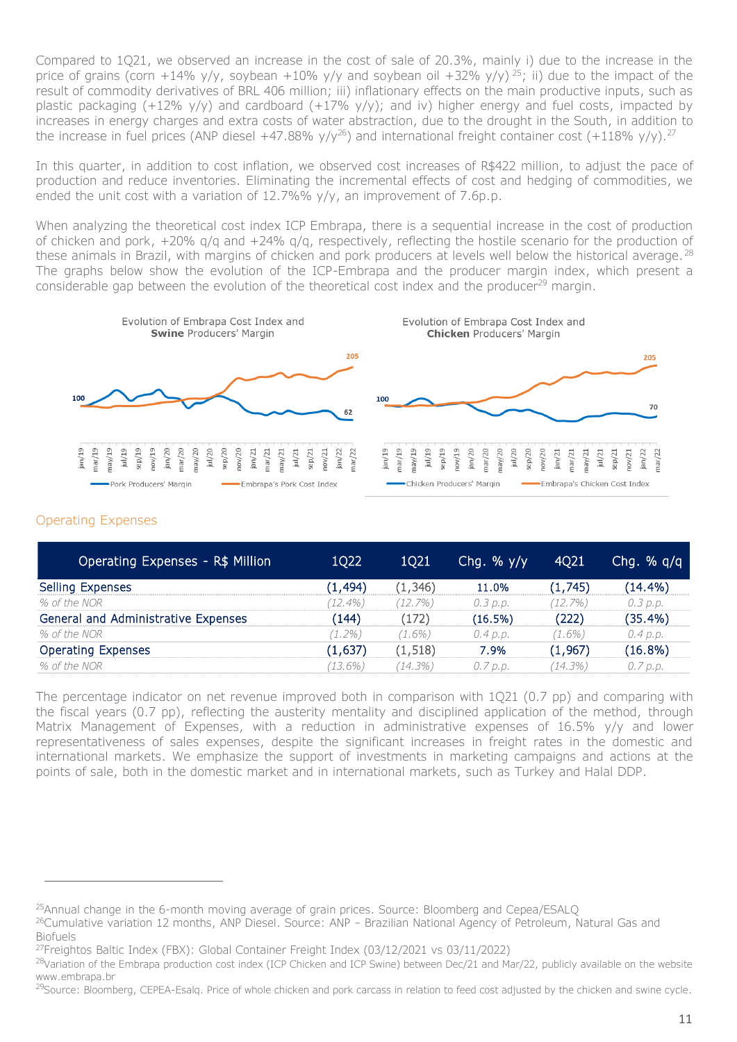Compared to 1Q21, we observed an increase in the cost of sale of 20.3%, mainly i) due to the increase in the price of grains (corn +14% y/y, soybean +10% y/y and soybean oil +32% y/y)<sup>25</sup>; ii) due to the impact of the result of commodity derivatives of BRL 406 million; iii) inflationary effects on the main productive inputs, such as plastic packaging (+12% y/y) and cardboard (+17% y/y); and iv) higher energy and fuel costs, impacted by increases in energy charges and extra costs of water abstraction, due to the drought in the South, in addition to the increase in fuel prices (ANP diesel +47.88% y/y<sup>26</sup>) and international freight container cost (+118% y/y).<sup>27</sup>

In this quarter, in addition to cost inflation, we observed cost increases of R\$422 million, to adjust the pace of production and reduce inventories. Eliminating the incremental effects of cost and hedging of commodities, we ended the unit cost with a variation of  $12.7\%$ %  $y/y$ , an improvement of 7.6p.p.

When analyzing the theoretical cost index ICP Embrapa, there is a sequential increase in the cost of production of chicken and pork, +20% q/q and +24% q/q, respectively, reflecting the hostile scenario for the production of these animals in Brazil, with margins of chicken and pork producers at levels well below the historical average.<sup>28</sup> The graphs below show the evolution of the ICP-Embrapa and the producer margin index, which present a considerable gap between the evolution of the theoretical cost index and the producer<sup>29</sup> margin.



#### Operating Expenses

 $\overline{a}$ 

| Operating Expenses - R\$ Million    | 1Q22       | <b>1Q21</b> | Chq. % $y/y$ | 4Q21       | Chq. % $q/q$ |
|-------------------------------------|------------|-------------|--------------|------------|--------------|
| Selling Expenses                    | (1, 494)   | (1, 346)    | 11.0%        | (1,745)    | $(14.4\%)$   |
| % of the NOR                        | $(12.4\%)$ | (12.7%)     | 0.3 p.p.     | (12.7%)    | 0.3 p.p.     |
| General and Administrative Expenses | (144)      | (172)       | (16.5%)      | (222)      | $(35.4\%)$   |
| % of the NOR                        | (1.2%)     | (1.6%)      | 0.4 p.p.     | $(1.6\%)$  | 0.4 p.p.     |
| <b>Operating Expenses</b>           | (1,637)    | (1, 518)    | 7.9%         | (1, 967)   | (16.8%)      |
| % of the NOR                        | (13.6%)    | (14.3%)     | 0.7 p.p.     | $(14.3\%)$ | 0.7 p.p.     |

The percentage indicator on net revenue improved both in comparison with 1Q21 (0.7 pp) and comparing with the fiscal years (0.7 pp), reflecting the austerity mentality and disciplined application of the method, through Matrix Management of Expenses, with a reduction in administrative expenses of 16.5% y/y and lower representativeness of sales expenses, despite the significant increases in freight rates in the domestic and international markets. We emphasize the support of investments in marketing campaigns and actions at the points of sale, both in the domestic market and in international markets, such as Turkey and Halal DDP.

<sup>25</sup>Annual change in the 6-month moving average of grain prices. Source: Bloomberg and Cepea/ESALQ

<sup>26</sup>Cumulative variation 12 months, ANP Diesel. Source: ANP – Brazilian National Agency of Petroleum, Natural Gas and Biofuels

<sup>27</sup>Freightos Baltic Index (FBX): Global Container Freight Index (03/12/2021 vs 03/11/2022)

<sup>&</sup>lt;sup>28</sup>Variation of the Embrapa production cost index (ICP Chicken and ICP Swine) between Dec/21 and Mar/22, publicly available on the website www.embrapa.br

<sup>&</sup>lt;sup>29</sup>Source: Bloomberg, CEPEA-Esalg. Price of whole chicken and pork carcass in relation to feed cost adjusted by the chicken and swine cycle.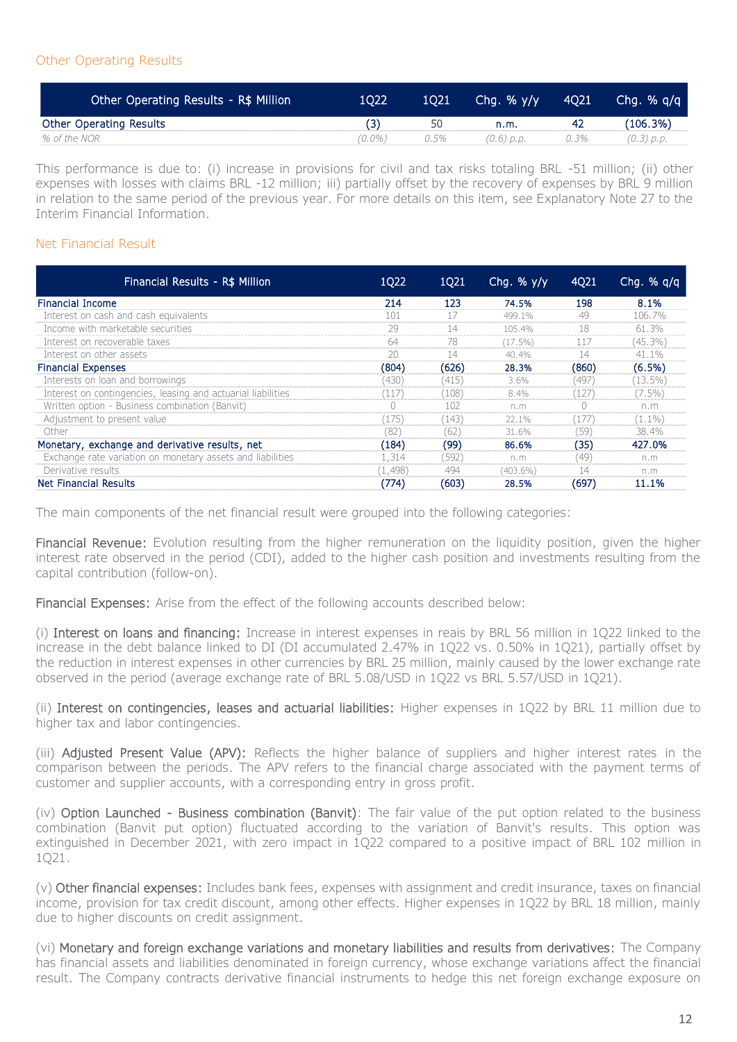#### Other Operating Results

| Other Operating Results - R\$ Million | 1022   | 1021 | Chq. % $y/y$ | 4021 | Chg. $%$ g/g |
|---------------------------------------|--------|------|--------------|------|--------------|
| <b>Other Operating Results</b>        |        | 50   | n.m.         | 42   | (106.3%)     |
| % of the NOR                          | (0.0%) | 0.5% | $(0.6)$ p.p. | 0.3% | (0.3) p.p.   |

This performance is due to: (i) increase in provisions for civil and tax risks totaling BRL -51 million; (ii) other expenses with losses with claims BRL -12 million; iii) partially offset by the recovery of expenses by BRL 9 million in relation to the same period of the previous year. For more details on this item, see Explanatory Note 27 to the Interim Financial Information.

#### Net Financial Result

| Financial Results - R\$ Million                              | 1Q22    | 1Q21  | Chq. % $y/y$ | 4Q21  | Chg. $% q/q$ |
|--------------------------------------------------------------|---------|-------|--------------|-------|--------------|
| <b>Financial Income</b>                                      | 214     | 123   | 74.5%        | 198   | 8.1%         |
| Interest on cash and cash equivalents                        | 101     | 17    | 499.1%       | 49    | 106.7%       |
| Income with marketable securities                            | 29      | 14    | 105.4%       | 18    | 61.3%        |
| Interest on recoverable taxes                                | 64      | 78    | $(17.5\%)$   | 117   | $(45.3\%)$   |
| Interest on other assets                                     | 20      | 14    | 40.4%        | 14    | 41.1%        |
| <b>Financial Expenses</b>                                    | (804)   | (626) | 28.3%        | (860) | $(6.5\%)$    |
| Interests on loan and borrowings                             | (430)   | (415) | $3.6\%$      | (497) | $(13.5\%)$   |
| Interest on contingencies, leasing and actuarial liabilities | (117)   | (108) | 8.4%         | (127) | $(7.5\%)$    |
| Written option - Business combination (Banvit)               |         | 102   | n.m          |       | n.m          |
| Adjustment to present value                                  | (175)   | (143) | 22.1%        | (177  | $(1.1\%)$    |
| Other                                                        | (82)    | (62)  | 31.6%        | (59)  | 38.4%        |
| Monetary, exchange and derivative results, net               | (184)   | (99)  | 86.6%        | (35)  | 427.0%       |
| Exchange rate variation on monetary assets and liabilities   | 1,314   | (592) | n.m          | (49)  | n.m          |
| Derivative results                                           | (1,498) | 494   | $(403.6\%)$  | 14    | n.m          |
| Net Financial Results                                        | (774)   | (603) | 28.5%        | (697) | 11.1%        |

The main components of the net financial result were grouped into the following categories:

Financial Revenue: Evolution resulting from the higher remuneration on the liquidity position, given the higher interest rate observed in the period (CDI), added to the higher cash position and investments resulting from the capital contribution (follow-on).

Financial Expenses: Arise from the effect of the following accounts described below:

(i) Interest on loans and financing: Increase in interest expenses in reais by BRL 56 million in 1Q22 linked to the increase in the debt balance linked to DI (DI accumulated 2.47% in 1Q22 vs. 0.50% in 1Q21), partially offset by the reduction in interest expenses in other currencies by BRL 25 million, mainly caused by the lower exchange rate observed in the period (average exchange rate of BRL 5.08/USD in 1Q22 vs BRL 5.57/USD in 1Q21).

(ii) Interest on contingencies, leases and actuarial liabilities: Higher expenses in 1Q22 by BRL 11 million due to higher tax and labor contingencies.

(iii) Adjusted Present Value (APV): Reflects the higher balance of suppliers and higher interest rates in the comparison between the periods. The APV refers to the financial charge associated with the payment terms of customer and supplier accounts, with a corresponding entry in gross profit.

(iv) Option Launched - Business combination (Banvit): The fair value of the put option related to the business combination (Banvit put option) fluctuated according to the variation of Banvit's results. This option was extinguished in December 2021, with zero impact in 1Q22 compared to a positive impact of BRL 102 million in 1Q21.

(v) Other financial expenses: Includes bank fees, expenses with assignment and credit insurance, taxes on financial income, provision for tax credit discount, among other effects. Higher expenses in 1Q22 by BRL 18 million, mainly due to higher discounts on credit assignment.

(vi) Monetary and foreign exchange variations and monetary liabilities and results from derivatives: The Company has financial assets and liabilities denominated in foreign currency, whose exchange variations affect the financial result. The Company contracts derivative financial instruments to hedge this net foreign exchange exposure on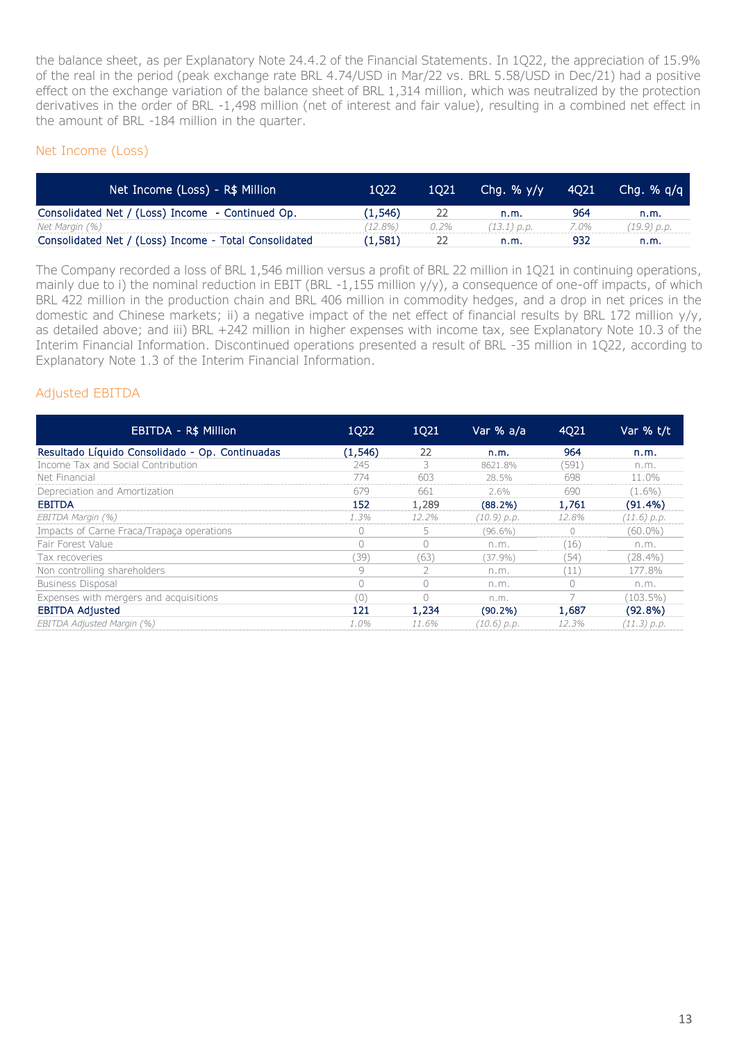the balance sheet, as per Explanatory Note 24.4.2 of the Financial Statements. In 1Q22, the appreciation of 15.9% of the real in the period (peak exchange rate BRL 4.74/USD in Mar/22 vs. BRL 5.58/USD in Dec/21) had a positive effect on the exchange variation of the balance sheet of BRL 1,314 million, which was neutralized by the protection derivatives in the order of BRL -1,498 million (net of interest and fair value), resulting in a combined net effect in the amount of BRL -184 million in the quarter.

#### Net Income (Loss)

| Net Income (Loss) - R\$ Million                       | 1022    | 1021 | Cha. $% y/y$  | <b>4021</b> | Cha. $%$ a/a |
|-------------------------------------------------------|---------|------|---------------|-------------|--------------|
| Consolidated Net / (Loss) Income - Continued Op.      | (1.546) | 22   | n.m.          | 964         | n.m.         |
| Net Margin (%)                                        | ′12.8%) | 0.2% | $(13.1)$ p.p. | 7.0%        | (19.9) p.p.  |
| Consolidated Net / (Loss) Income - Total Consolidated | (1,581) |      | n.m.          | 932         | n.m.         |

The Company recorded a loss of BRL 1,546 million versus a profit of BRL 22 million in 1Q21 in continuing operations, mainly due to i) the nominal reduction in EBIT (BRL -1,155 million y/y), a consequence of one-off impacts, of which BRL 422 million in the production chain and BRL 406 million in commodity hedges, and a drop in net prices in the domestic and Chinese markets; ii) a negative impact of the net effect of financial results by BRL 172 million y/y, as detailed above; and iii) BRL +242 million in higher expenses with income tax, see Explanatory Note 10.3 of the Interim Financial Information. Discontinued operations presented a result of BRL -35 million in 1Q22, according to Explanatory Note 1.3 of the Interim Financial Information.

#### Adjusted EBITDA

| EBITDA - R\$ Million                            | 1Q22       | 1Q21  | Var % a/a   | 4Q21  | Var % t/t     |
|-------------------------------------------------|------------|-------|-------------|-------|---------------|
| Resultado Líquido Consolidado - Op. Continuadas | (1, 546)   | 22    | n.m.        | 964   | n.m.          |
| Income Tax and Social Contribution              | 245        |       | 8621.8%     | (591) | n.m.          |
| Net Financial                                   | 774        | 603   | 28.5%       | 698   | 11.0%         |
| Depreciation and Amortization                   | 679        | 661   | 2.6%        | 690   | $(1.6\%)$     |
| <b>EBITDA</b>                                   | 152        | 1,289 | (88.2%)     | 1,761 | $(91.4\%)$    |
| EBITDA Margin (%)                               | 1.3%       | 12.2% | (10.9) p.p. | 12.8% | $(11.6)$ p.p. |
| Impacts of Carne Fraca/Trapaca operations       | $\bigcirc$ | 5.    | $(96.6\%)$  | 0     | $(60.0\%)$    |
| Fair Forest Value                               | $\bigcap$  | Ω     | n.m.        | (16)  | n.m.          |
| Tax recoveries                                  | '39)       | (63)  | (37.9%)     | (54)  | $(28.4\%)$    |
| Non controlling shareholders                    | 9          |       | n.m.        | (11)  | 177.8%        |
| <b>Business Disposal</b>                        | $\bigcap$  |       | n.m.        |       | n.m.          |
| Expenses with mergers and acquisitions          | 0'         |       | n.m.        |       | $(103.5\%)$   |
| <b>EBITDA Adjusted</b>                          | 121        | 1,234 | (90.2%)     | 1,687 | (92.8%)       |
| EBITDA Adjusted Margin (%)                      | $1.0\%$    | 11.6% | (10.6) p.p. | 12.3% | (11.3) p.p.   |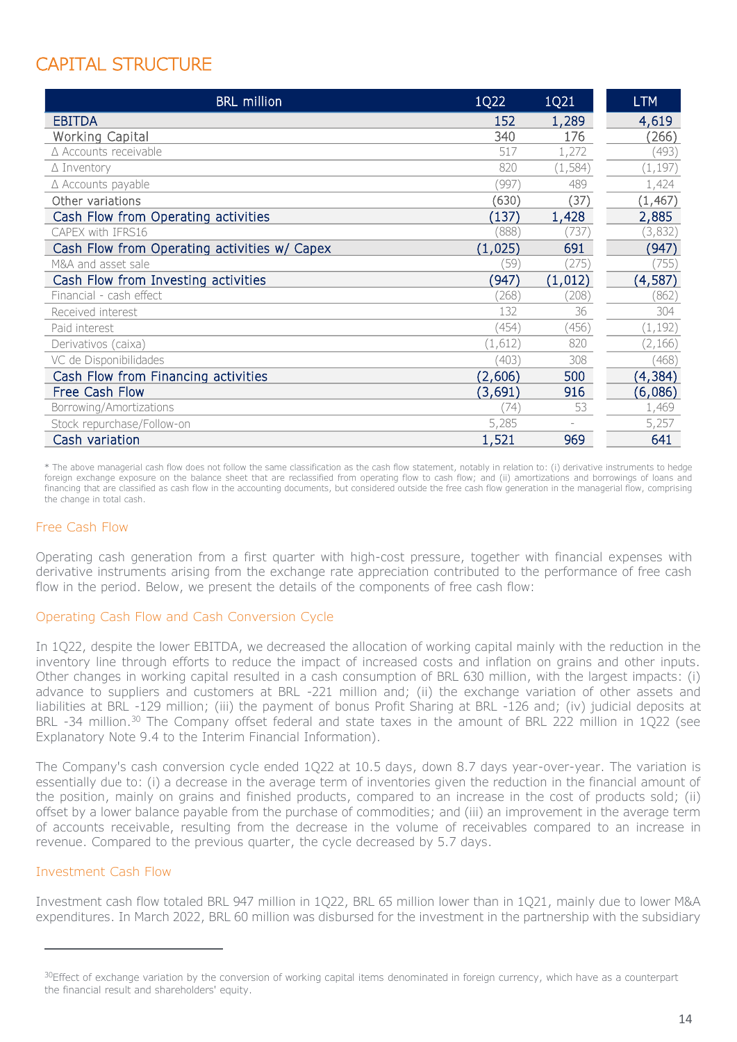# CAPITAL STRUCTURE

| <b>BRL</b> million                           | 1Q22    | 1Q21     | <b>LTM</b> |
|----------------------------------------------|---------|----------|------------|
| <b>EBITDA</b>                                | 152     | 1,289    | 4,619      |
| Working Capital                              | 340     | 176      | (266)      |
| △ Accounts receivable                        | 517     | 1,272    | (493)      |
| $\triangle$ Inventory                        | 820     | (1, 584) | (1, 197)   |
| $\triangle$ Accounts payable                 | (997)   | 489      | 1,424      |
| Other variations                             | (630)   | (37)     | (1, 467)   |
| Cash Flow from Operating activities          | (137)   | 1,428    | 2,885      |
| CAPEX with IFRS16                            | (888)   | (737)    | (3,832)    |
| Cash Flow from Operating activities w/ Capex | (1,025) | 691      | (947)      |
| M&A and asset sale                           | (59)    | (275)    | (755)      |
| Cash Flow from Investing activities          | (947    | (1,012)  | (4,587)    |
| Financial - cash effect                      | (268)   | (208)    | (862)      |
| Received interest                            | 132     | 36       | 304        |
| Paid interest                                | (454)   | (456)    | (1, 192)   |
| Derivativos (caixa)                          | (1,612) | 820      | (2, 166)   |
| VC de Disponibilidades                       | (403)   | 308      | (468)      |
| Cash Flow from Financing activities          | (2,606) | 500      | (4, 384)   |
| Free Cash Flow                               | (3,691) | 916      | (6,086)    |
| Borrowing/Amortizations                      | 74)     | 53       | 1,469      |
| Stock repurchase/Follow-on                   | 5,285   |          | 5,257      |
| Cash variation                               | 1,521   | 969      | 641        |

\* The above managerial cash flow does not follow the same classification as the cash flow statement, notably in relation to: (i) derivative instruments to hedge foreign exchange exposure on the balance sheet that are reclassified from operating flow to cash flow; and (ii) amortizations and borrowings of loans and financing that are classified as cash flow in the accounting documents, but considered outside the free cash flow generation in the managerial flow, comprising the change in total cash.

#### Free Cash Flow

Operating cash generation from a first quarter with high-cost pressure, together with financial expenses with derivative instruments arising from the exchange rate appreciation contributed to the performance of free cash flow in the period. Below, we present the details of the components of free cash flow:

#### Operating Cash Flow and Cash Conversion Cycle

In 1Q22, despite the lower EBITDA, we decreased the allocation of working capital mainly with the reduction in the inventory line through efforts to reduce the impact of increased costs and inflation on grains and other inputs. Other changes in working capital resulted in a cash consumption of BRL 630 million, with the largest impacts: (i) advance to suppliers and customers at BRL -221 million and; (ii) the exchange variation of other assets and liabilities at BRL -129 million; (iii) the payment of bonus Profit Sharing at BRL -126 and; (iv) judicial deposits at BRL -34 million.<sup>30</sup> The Company offset federal and state taxes in the amount of BRL 222 million in 1Q22 (see Explanatory Note 9.4 to the Interim Financial Information).

The Company's cash conversion cycle ended 1Q22 at 10.5 days, down 8.7 days year-over-year. The variation is essentially due to: (i) a decrease in the average term of inventories given the reduction in the financial amount of the position, mainly on grains and finished products, compared to an increase in the cost of products sold; (ii) offset by a lower balance payable from the purchase of commodities; and (iii) an improvement in the average term of accounts receivable, resulting from the decrease in the volume of receivables compared to an increase in revenue. Compared to the previous quarter, the cycle decreased by 5.7 days.

#### Investment Cash Flow

-

Investment cash flow totaled BRL 947 million in 1Q22, BRL 65 million lower than in 1Q21, mainly due to lower M&A expenditures. In March 2022, BRL 60 million was disbursed for the investment in the partnership with the subsidiary

<sup>&</sup>lt;sup>30</sup>Effect of exchange variation by the conversion of working capital items denominated in foreign currency, which have as a counterpart the financial result and shareholders' equity.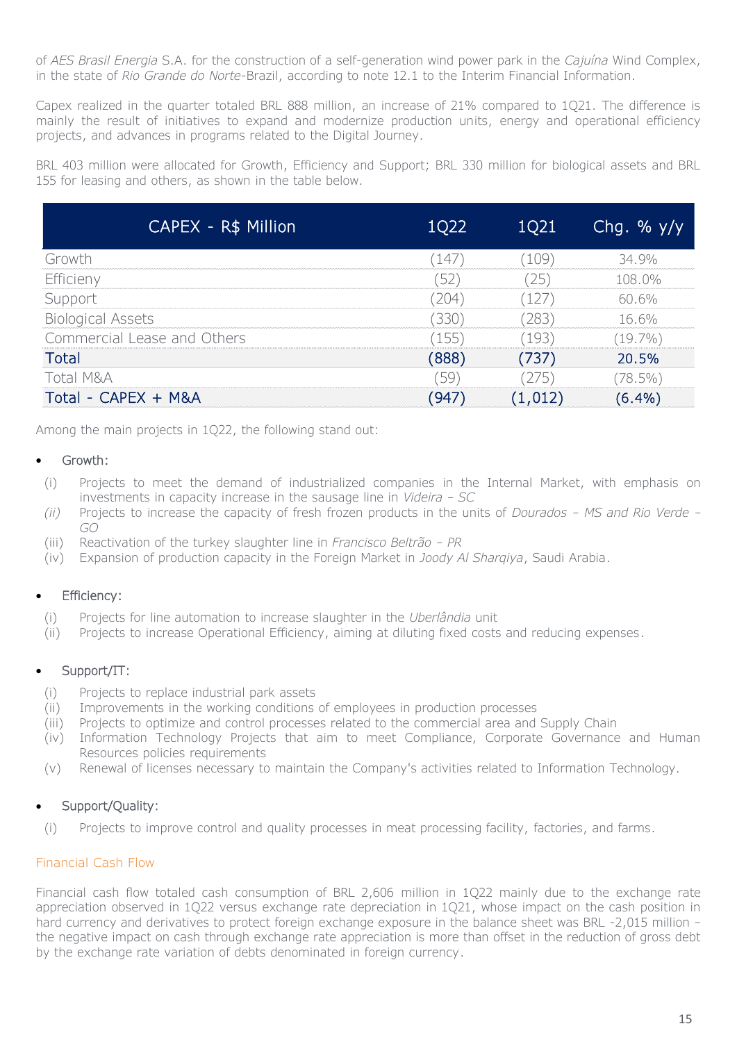of *AES Brasil Energia* S.A. for the construction of a self-generation wind power park in the *Cajuína* Wind Complex, in the state of *Rio Grande do Norte*-Brazil, according to note 12.1 to the Interim Financial Information.

Capex realized in the quarter totaled BRL 888 million, an increase of 21% compared to 1Q21. The difference is mainly the result of initiatives to expand and modernize production units, energy and operational efficiency projects, and advances in programs related to the Digital Journey.

BRL 403 million were allocated for Growth, Efficiency and Support; BRL 330 million for biological assets and BRL 155 for leasing and others, as shown in the table below.

| CAPEX - R\$ Million'        | 1Q22  | 1Q21     | Chg. % $y/y$ |
|-----------------------------|-------|----------|--------------|
| Growth                      | (147) | (109)    | 34.9%        |
| Efficieny                   | (52)  | (25)     | 108.0%       |
| Support                     | (204) | (127)    | 60.6%        |
| <b>Biological Assets</b>    | (330) | (283)    | 16.6%        |
| Commercial Lease and Others | (155) | (193)    | $(19.7\%)$   |
| <b>Total</b>                | (888) | (737)    | 20.5%        |
| Total M&A                   | (59)  | (275)    | $(78.5\%)$   |
| Total - CAPEX + M&A         | (947) | (1, 012) | (6.4%)       |

Among the main projects in 1Q22, the following stand out:

#### • Growth:

- (i) Projects to meet the demand of industrialized companies in the Internal Market, with emphasis on investments in capacity increase in the sausage line in *Videira – SC*
- *(ii)* Projects to increase the capacity of fresh frozen products in the units of *Dourados – MS and Rio Verde – GO*
- (iii) Reactivation of the turkey slaughter line in *Francisco Beltrão – PR*
- (iv) Expansion of production capacity in the Foreign Market in *Joody Al Sharqiya*, Saudi Arabia.

#### **Efficiency:**

- (i) Projects for line automation to increase slaughter in the *Uberlândia* unit
- (ii) Projects to increase Operational Efficiency, aiming at diluting fixed costs and reducing expenses.

#### Support/IT:

- (i) Projects to replace industrial park assets
- (ii) Improvements in the working conditions of employees in production processes
- (iii) Projects to optimize and control processes related to the commercial area and Supply Chain
- (iv) Information Technology Projects that aim to meet Compliance, Corporate Governance and Human Resources policies requirements
- (v) Renewal of licenses necessary to maintain the Company's activities related to Information Technology.

#### Support/Quality:

(i) Projects to improve control and quality processes in meat processing facility, factories, and farms.

#### Financial Cash Flow

Financial cash flow totaled cash consumption of BRL 2,606 million in 1Q22 mainly due to the exchange rate appreciation observed in 1Q22 versus exchange rate depreciation in 1Q21, whose impact on the cash position in hard currency and derivatives to protect foreign exchange exposure in the balance sheet was BRL -2,015 million – the negative impact on cash through exchange rate appreciation is more than offset in the reduction of gross debt by the exchange rate variation of debts denominated in foreign currency.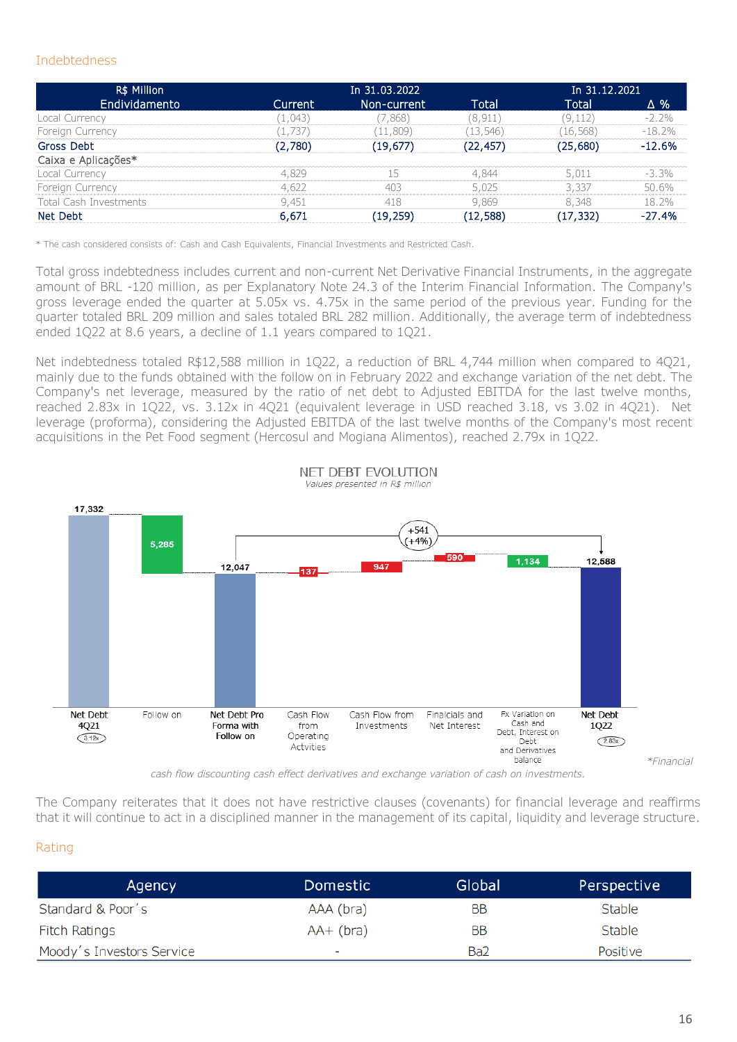#### Indebtedness

| R\$ Million                   |         | In 31.03.2022 |           |           | In 31.12.2021 |
|-------------------------------|---------|---------------|-----------|-----------|---------------|
| Endividamento                 | Current | Non-current   | Total     | Total     | Δ%            |
| Local Currency                | (1,043) | (7,868)       | (8, 911)  | (9, 112)  | $-2.2\%$      |
| Foreign Currency              | (1,737) | (11, 809)     | (13, 546) | (16, 568) | $-18.2%$      |
| Gross Debt                    | (2,780) | (19,677)      | (22, 457) | (25,680)  | $-12.6%$      |
| Caixa e Aplicações*           |         |               |           |           |               |
| Local Currency                | 4,829   | 15            | 4,844     | 5,011     | $-3.3\%$      |
| Foreign Currency              | 4,622   | 403           | 5,025     | 3,337     | 50.6%         |
| <b>Total Cash Investments</b> | 9,451   | 418           | 9,869     | 8,348     | 18.2%         |
| Net Debt                      | 6,671   | (19,259)      | (12, 588) | (17, 332) | $-27.4%$      |

\* The cash considered consists of: Cash and Cash Equivalents, Financial Investments and Restricted Cash.

Total gross indebtedness includes current and non-current Net Derivative Financial Instruments, in the aggregate amount of BRL -120 million, as per Explanatory Note 24.3 of the Interim Financial Information. The Company's gross leverage ended the quarter at 5.05x vs. 4.75x in the same period of the previous year. Funding for the quarter totaled BRL 209 million and sales totaled BRL 282 million. Additionally, the average term of indebtedness ended 1Q22 at 8.6 years, a decline of 1.1 years compared to 1Q21.

Net indebtedness totaled R\$12,588 million in 1Q22, a reduction of BRL 4,744 million when compared to 4Q21, mainly due to the funds obtained with the follow on in February 2022 and exchange variation of the net debt. The Company's net leverage, measured by the ratio of net debt to Adjusted EBITDA for the last twelve months, reached 2.83x in 1Q22, vs. 3.12x in 4Q21 (equivalent leverage in USD reached 3.18, vs 3.02 in 4Q21). Net leverage (proforma), considering the Adjusted EBITDA of the last twelve months of the Company's most recent acquisitions in the Pet Food segment (Hercosul and Mogiana Alimentos), reached 2.79x in 1Q22.



NFT DEBT FVOLUTION Values presented in R\$ million

*cash flow discounting cash effect derivatives and exchange variation of cash on investments.* 

The Company reiterates that it does not have restrictive clauses (covenants) for financial leverage and reaffirms that it will continue to act in a disciplined manner in the management of its capital, liquidity and leverage structure.

#### Rating

| Agency                    | Domestic                 | Global | Perspective   |
|---------------------------|--------------------------|--------|---------------|
| Standard & Poor's         | AAA (bra)                | BB     | <b>Stable</b> |
| <b>Fitch Ratings</b>      | $AA+$ (bra)              | BB     | <b>Stable</b> |
| Moody's Investors Service | $\overline{\phantom{0}}$ | Ba2    | Positive      |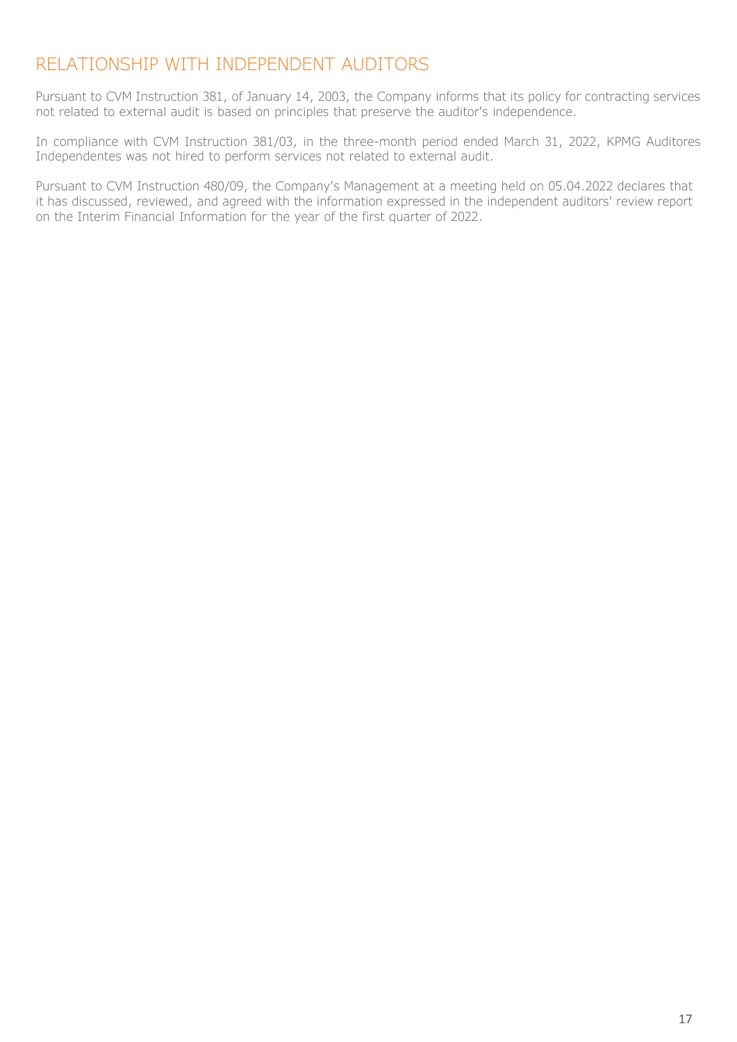### RELATIONSHIP WITH INDEPENDENT AUDITORS

Pursuant to CVM Instruction 381, of January 14, 2003, the Company informs that its policy for contracting services not related to external audit is based on principles that preserve the auditor's independence.

In compliance with CVM Instruction 381/03, in the three-month period ended March 31, 2022, KPMG Auditores Independentes was not hired to perform services not related to external audit.

Pursuant to CVM Instruction 480/09, the Company's Management at a meeting held on 05.04.2022 declares that it has discussed, reviewed, and agreed with the information expressed in the independent auditors' review report on the Interim Financial Information for the year of the first quarter of 2022.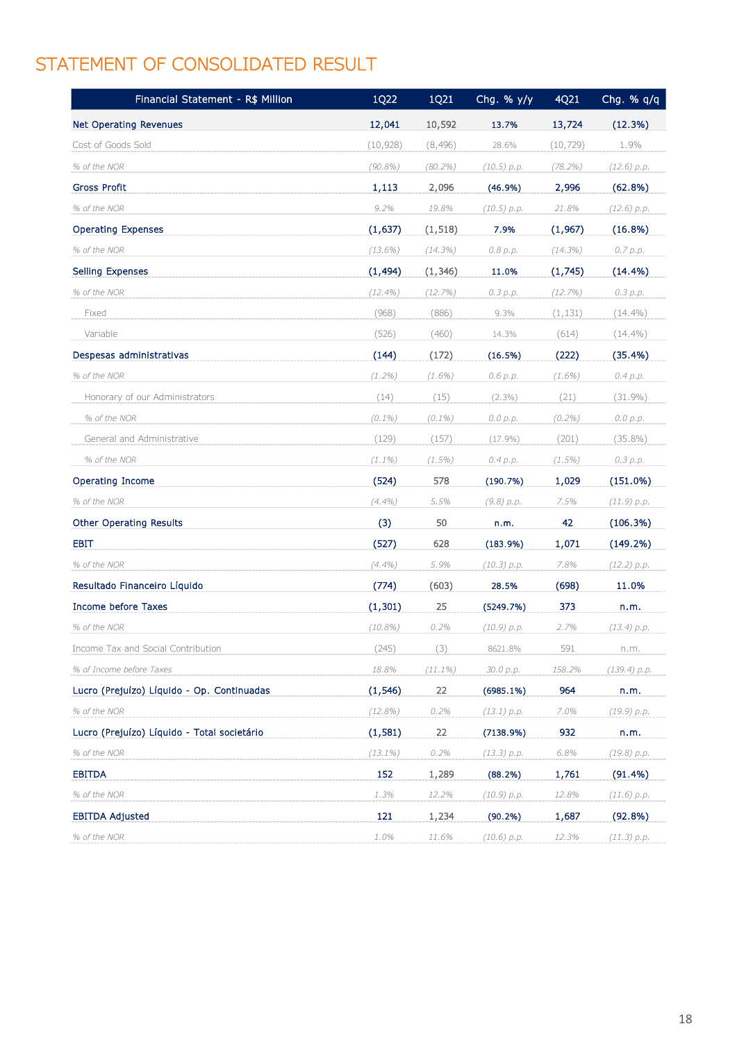# STATEMENT OF CONSOLIDATED RESULT

| Financial Statement - R\$ Million           | 1Q22       | 1Q21       | Chg. % y/y    | 4Q21       | Chg. % q/q   |
|---------------------------------------------|------------|------------|---------------|------------|--------------|
| Net Operating Revenues                      | 12,041     | 10,592     | 13.7%         | 13,724     | (12.3%)      |
| Cost of Goods Sold                          | (10, 928)  | (8, 496)   | 28.6%         | (10, 729)  | 1.9%         |
| % of the NOR                                | $(90.8\%)$ | $(80.2\%)$ | $(10.5)$ p.p. | $(78.2\%)$ | (12.6) p.p.  |
| <b>Gross Profit</b>                         | 1,113      | 2,096      | (46.9%)       | 2,996      | (62.8%)      |
| % of the NOR                                | 9.2%       | 19.8%      | (10.5) p.p.   | 21.8%      | (12.6) p.p.  |
| <b>Operating Expenses</b>                   | (1,637)    | (1, 518)   | 7.9%          | (1,967)    | (16.8%)      |
| % of the NOR                                | $(13.6\%)$ | (14.3%)    | 0.8 p.p.      | $(14.3\%)$ | 0.7 p.p.     |
| Selling Expenses                            | (1, 494)   | (1, 346)   | 11.0%         | (1,745)    | (14.4%)      |
| % of the NOR                                | $(12.4\%)$ | (12.7%)    | 0.3 p.p.      | (12.7%)    | 0.3 p.p.     |
| Fixed                                       | (968)      | (886)      | 9.3%          | (1, 131)   | $(14.4\%)$   |
| Variable                                    | (526)      | (460)      | 14.3%         | (614)      | $(14.4\%)$   |
| Despesas administrativas                    | (144)      | (172)      | (16.5%)       | (222)      | (35.4%)      |
| % of the NOR                                | $(1.2\%)$  | $(1.6\%)$  | 0.6 p.p.      | $(1.6\%)$  | 0.4 p.p.     |
| Honorary of our Administrators              | (14)       | (15)       | $(2.3\%)$     | (21)       | $(31.9\%)$   |
| % of the NOR                                | $(0.1\%)$  | $(0.1\%)$  | 0.0 p.p.      | $(0.2\%)$  | 0.0 p.p.     |
| General and Administrative                  | (129)      | (157)      | $(17.9\%)$    | (201)      | $(35.8\%)$   |
| % of the NOR                                | $(1.1\%)$  | (1.5%)     | 0.4 p.p.      | (1.5%)     | 0.3 p.p.     |
| Operating Income                            | (524)      | 578        | (190.7%)      | 1,029      | $(151.0\%)$  |
| % of the NOR                                | $(4.4\%)$  | 5.5%       | (9.8) p.p.    | 7.5%       | (11.9) p.p.  |
| Other Operating Results                     | (3)        | 50         | n.m.          | 42         | (106.3%)     |
| <b>EBIT</b>                                 | (527)      | 628        | (183.9%)      | 1,071      | (149.2%)     |
| % of the NOR                                | $(4.4\%)$  | 5.9%       | (10.3) p.p.   | 7.8%       | (12.2) p.p.  |
| Resultado Financeiro Líquido                | (774)      | (603)      | 28.5%         | (698)      | 11.0%        |
| Income before Taxes                         | (1, 301)   | 25         | (5249.7%)     | 373        | n.m.         |
| % of the NOR                                | $(10.8\%)$ | 0.2%       | (10.9) p.p.   | 2.7%       | (13.4) p.p.  |
| Income Tax and Social Contribution          | (245)      | (3)        | 8621.8%       | 591        | n.m.         |
| % of Income before Taxes                    | 18.8%      | $(11.1\%)$ | 30.0 р.р.     | 158.2%     | (139.4) p.p. |
| Lucro (Prejuízo) Líquido - Op. Continuadas  | (1, 546)   | 22         | $(6985.1\%)$  | 964        | n.m.         |
| % of the NOR                                | $(12.8\%)$ | 0.2%       | (13.1) p.p.   | 7.0%       | (19.9) p.p.  |
| Lucro (Prejuízo) Líquido - Total societário | (1, 581)   | 22         | (7138.9%)     | 932        | n.m.         |
| % of the NOR                                | $(13.1\%)$ | 0.2%       | (13.3) p.p.   | 6.8%       | (19.8) p.p.  |
| <b>EBITDA</b>                               | 152        | 1,289      | (88.2%)       | 1,761      | (91.4%)      |
| % of the NOR                                | 1.3%       | 12.2%      | (10.9) p.p.   | 12.8%      | (11.6) p.p.  |
| <b>EBITDA Adjusted</b>                      | 121        | 1,234      | (90.2%)       | 1,687      | (92.8%)      |
| % of the NOR                                | 1.0%       | 11.6%      | (10.6) p.p.   | 12.3%      | (11.3) p.p.  |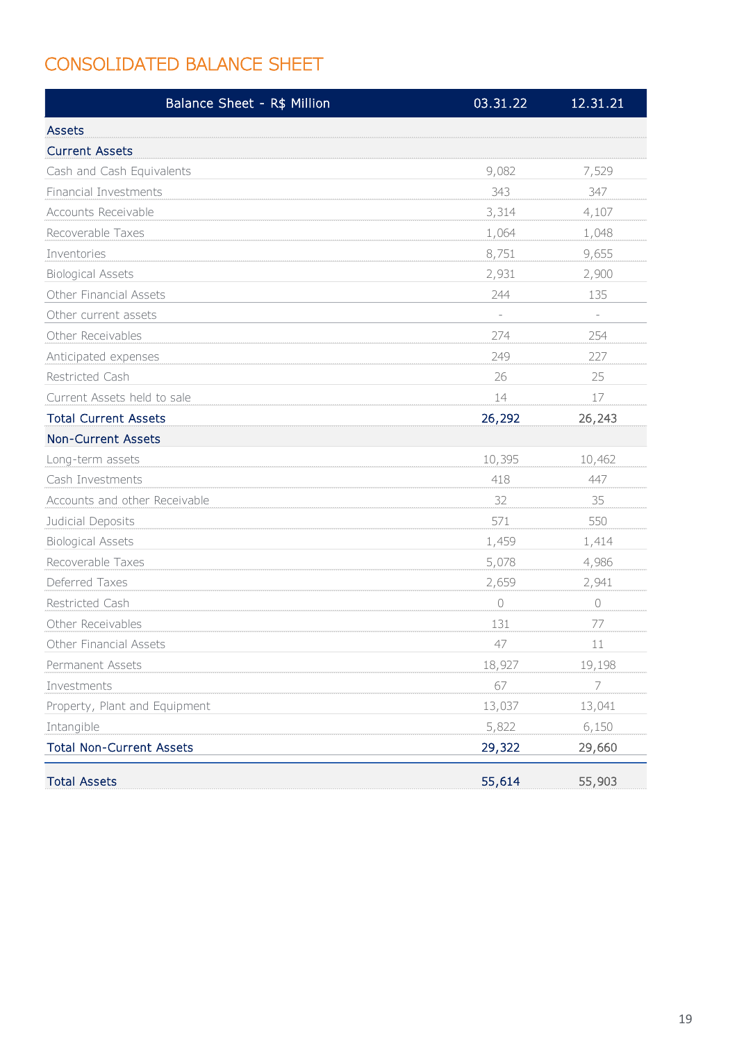# CONSOLIDATED BALANCE SHEET

| Balance Sheet - R\$ Million     | 03.31.22                 | 12.31.21                 |
|---------------------------------|--------------------------|--------------------------|
| <b>Assets</b>                   |                          |                          |
| <b>Current Assets</b>           |                          |                          |
| Cash and Cash Equivalents       | 9,082                    | 7,529                    |
| Financial Investments           | 343                      | 347                      |
| Accounts Receivable             | 3,314                    | 4,107                    |
| Recoverable Taxes               | 1,064                    | 1,048                    |
| Inventories                     | 8,751                    | 9,655                    |
| <b>Biological Assets</b>        | 2,931                    | 2,900                    |
| Other Financial Assets          | 244                      | 135                      |
| Other current assets            | $\overline{\phantom{a}}$ | $\overline{\phantom{a}}$ |
| Other Receivables               | 274                      | 254                      |
| Anticipated expenses            | 249                      | 227                      |
| Restricted Cash                 | 26                       | 25                       |
| Current Assets held to sale     | 14                       | 17                       |
| <b>Total Current Assets</b>     | 26,292                   | 26,243                   |
| <b>Non-Current Assets</b>       |                          |                          |
| Long-term assets                | 10,395                   | 10,462                   |
| Cash Investments                | 418                      | 447                      |
| Accounts and other Receivable   | 32                       | 35                       |
| Judicial Deposits               | 571                      | 550                      |
| <b>Biological Assets</b>        | 1,459                    | 1,414                    |
| Recoverable Taxes               | 5,078                    | 4,986                    |
| Deferred Taxes                  | 2,659                    | 2,941                    |
| Restricted Cash                 | $\bigcirc$               | $\bigcirc$               |
| Other Receivables               | 131                      | 77                       |
| Other Financial Assets          | 47                       | 11                       |
| Permanent Assets                | 18,927                   | 19,198                   |
| Investments                     | 67                       | $\overline{ }$           |
| Property, Plant and Equipment   | 13,037                   | 13,041                   |
| Intangible                      | 5,822                    | 6,150                    |
| <b>Total Non-Current Assets</b> | 29,322                   | 29,660                   |
| <b>Total Assets</b>             | 55,614                   | 55,903                   |